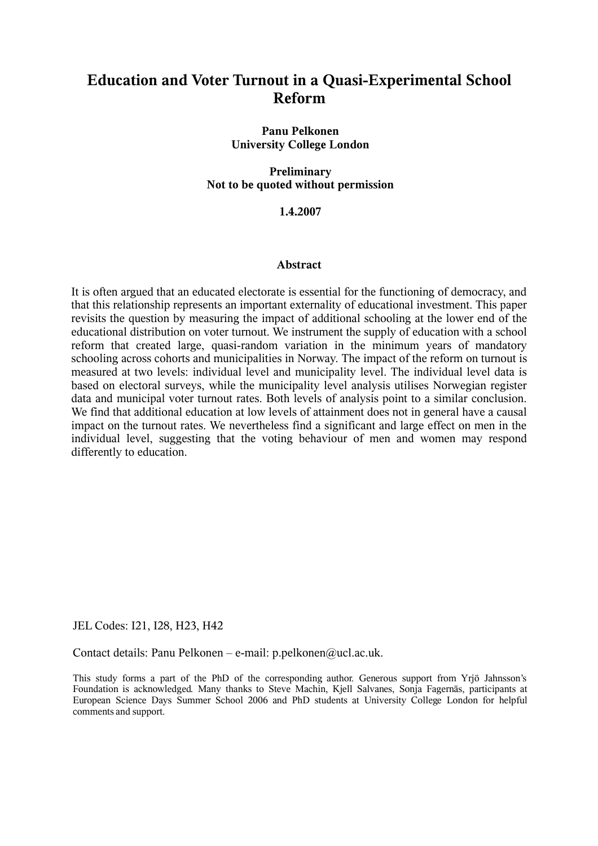# **Education and Voter Turnout in a Quasi-Experimental School Reform**

**Panu Pelkonen University College London**

**Preliminary Not to be quoted without permission**

#### **1.4.2007**

#### **Abstract**

It is often argued that an educated electorate is essential for the functioning of democracy, and that this relationship represents an important externality of educational investment. This paper revisits the question by measuring the impact of additional schooling at the lower end of the educational distribution on voter turnout. We instrument the supply of education with a school reform that created large, quasi-random variation in the minimum years of mandatory schooling across cohorts and municipalities in Norway. The impact of the reform on turnout is measured at two levels: individual level and municipality level. The individual level data is based on electoral surveys, while the municipality level analysis utilises Norwegian register data and municipal voter turnout rates. Both levels of analysis point to a similar conclusion. We find that additional education at low levels of attainment does not in general have a causal impact on the turnout rates. We nevertheless find a significant and large effect on men in the individual level, suggesting that the voting behaviour of men and women may respond differently to education.

JEL Codes: I21, I28, H23, H42

Contact details: Panu Pelkonen – e-mail: p.pelkonen@ucl.ac.uk.

This study forms a part of the PhD of the corresponding author. Generous support from Yrjö Jahnsson's Foundation is acknowledged. Many thanks to Steve Machin, Kjell Salvanes, Sonja Fagernäs, participants at European Science Days Summer School 2006 and PhD students at University College London for helpful comments and support.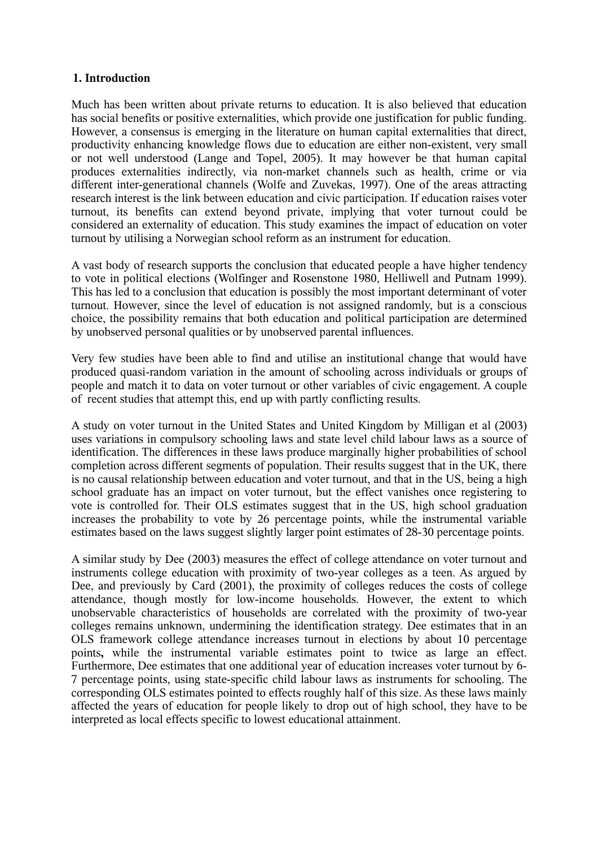# **1. Introduction**

Much has been written about private returns to education. It is also believed that education has social benefits or positive externalities, which provide one justification for public funding. However, a consensus is emerging in the literature on human capital externalities that direct, productivity enhancing knowledge flows due to education are either non-existent, very small or not well understood (Lange and Topel, 2005). It may however be that human capital produces externalities indirectly, via non-market channels such as health, crime or via different inter-generational channels (Wolfe and Zuvekas, 1997). One of the areas attracting research interest is the link between education and civic participation. If education raises voter turnout, its benefits can extend beyond private, implying that voter turnout could be considered an externality of education. This study examines the impact of education on voter turnout by utilising a Norwegian school reform as an instrument for education.

A vast body of research supports the conclusion that educated people a have higher tendency to vote in political elections (Wolfinger and Rosenstone 1980, Helliwell and Putnam 1999). This has led to a conclusion that education is possibly the most important determinant of voter turnout. However, since the level of education is not assigned randomly, but is a conscious choice, the possibility remains that both education and political participation are determined by unobserved personal qualities or by unobserved parental influences.

Very few studies have been able to find and utilise an institutional change that would have produced quasi-random variation in the amount of schooling across individuals or groups of people and match it to data on voter turnout or other variables of civic engagement. A couple of recent studies that attempt this, end up with partly conflicting results.

A study on voter turnout in the United States and United Kingdom by Milligan et al (2003) uses variations in compulsory schooling laws and state level child labour laws as a source of identification. The differences in these laws produce marginally higher probabilities of school completion across different segments of population. Their results suggest that in the UK, there is no causal relationship between education and voter turnout, and that in the US, being a high school graduate has an impact on voter turnout, but the effect vanishes once registering to vote is controlled for. Their OLS estimates suggest that in the US, high school graduation increases the probability to vote by 26 percentage points, while the instrumental variable estimates based on the laws suggest slightly larger point estimates of 28-30 percentage points.

A similar study by Dee (2003) measures the effect of college attendance on voter turnout and instruments college education with proximity of two-year colleges as a teen. As argued by Dee, and previously by Card (2001), the proximity of colleges reduces the costs of college attendance, though mostly for low-income households. However, the extent to which unobservable characteristics of households are correlated with the proximity of two-year colleges remains unknown, undermining the identification strategy. Dee estimates that in an OLS framework college attendance increases turnout in elections by about 10 percentage points**,** while the instrumental variable estimates point to twice as large an effect. Furthermore, Dee estimates that one additional year of education increases voter turnout by 6- 7 percentage points, using state-specific child labour laws as instruments for schooling. The corresponding OLS estimates pointed to effects roughly half of this size. As these laws mainly affected the years of education for people likely to drop out of high school, they have to be interpreted as local effects specific to lowest educational attainment.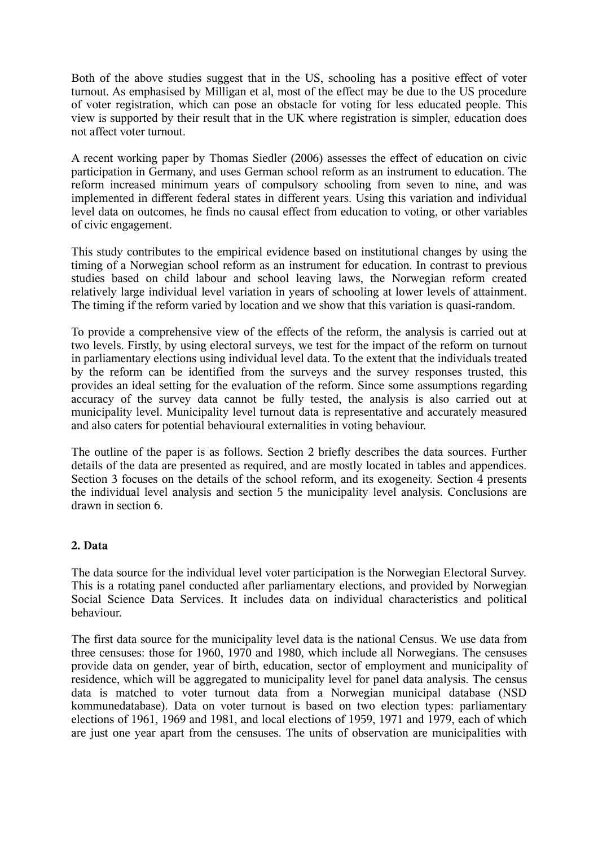Both of the above studies suggest that in the US, schooling has a positive effect of voter turnout. As emphasised by Milligan et al, most of the effect may be due to the US procedure of voter registration, which can pose an obstacle for voting for less educated people. This view is supported by their result that in the UK where registration is simpler, education does not affect voter turnout.

A recent working paper by Thomas Siedler (2006) assesses the effect of education on civic participation in Germany, and uses German school reform as an instrument to education. The reform increased minimum years of compulsory schooling from seven to nine, and was implemented in different federal states in different years. Using this variation and individual level data on outcomes, he finds no causal effect from education to voting, or other variables of civic engagement.

This study contributes to the empirical evidence based on institutional changes by using the timing of a Norwegian school reform as an instrument for education. In contrast to previous studies based on child labour and school leaving laws, the Norwegian reform created relatively large individual level variation in years of schooling at lower levels of attainment. The timing if the reform varied by location and we show that this variation is quasi-random.

To provide a comprehensive view of the effects of the reform, the analysis is carried out at two levels. Firstly, by using electoral surveys, we test for the impact of the reform on turnout in parliamentary elections using individual level data. To the extent that the individuals treated by the reform can be identified from the surveys and the survey responses trusted, this provides an ideal setting for the evaluation of the reform. Since some assumptions regarding accuracy of the survey data cannot be fully tested, the analysis is also carried out at municipality level. Municipality level turnout data is representative and accurately measured and also caters for potential behavioural externalities in voting behaviour.

The outline of the paper is as follows. Section 2 briefly describes the data sources. Further details of the data are presented as required, and are mostly located in tables and appendices. Section 3 focuses on the details of the school reform, and its exogeneity. Section 4 presents the individual level analysis and section 5 the municipality level analysis. Conclusions are drawn in section 6.

# **2. Data**

The data source for the individual level voter participation is the Norwegian Electoral Survey. This is a rotating panel conducted after parliamentary elections, and provided by Norwegian Social Science Data Services. It includes data on individual characteristics and political behaviour.

The first data source for the municipality level data is the national Census. We use data from three censuses: those for 1960, 1970 and 1980, which include all Norwegians. The censuses provide data on gender, year of birth, education, sector of employment and municipality of residence, which will be aggregated to municipality level for panel data analysis. The census data is matched to voter turnout data from a Norwegian municipal database (NSD kommunedatabase). Data on voter turnout is based on two election types: parliamentary elections of 1961, 1969 and 1981, and local elections of 1959, 1971 and 1979, each of which are just one year apart from the censuses. The units of observation are municipalities with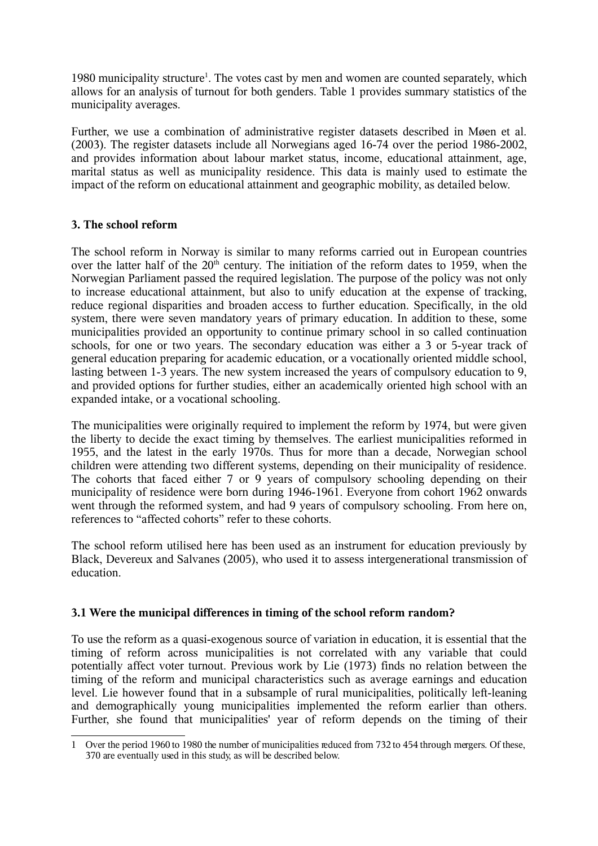[1](#page-3-0)980 municipality structure<sup>1</sup>. The votes cast by men and women are counted separately, which allows for an analysis of turnout for both genders. Table 1 provides summary statistics of the municipality averages.

Further, we use a combination of administrative register datasets described in Møen et al. (2003). The register datasets include all Norwegians aged 16-74 over the period 1986-2002, and provides information about labour market status, income, educational attainment, age, marital status as well as municipality residence. This data is mainly used to estimate the impact of the reform on educational attainment and geographic mobility, as detailed below.

# **3. The school reform**

The school reform in Norway is similar to many reforms carried out in European countries over the latter half of the  $20<sup>th</sup>$  century. The initiation of the reform dates to 1959, when the Norwegian Parliament passed the required legislation. The purpose of the policy was not only to increase educational attainment, but also to unify education at the expense of tracking, reduce regional disparities and broaden access to further education. Specifically, in the old system, there were seven mandatory years of primary education. In addition to these, some municipalities provided an opportunity to continue primary school in so called continuation schools, for one or two years. The secondary education was either a 3 or 5-year track of general education preparing for academic education, or a vocationally oriented middle school, lasting between 1-3 years. The new system increased the years of compulsory education to 9, and provided options for further studies, either an academically oriented high school with an expanded intake, or a vocational schooling.

The municipalities were originally required to implement the reform by 1974, but were given the liberty to decide the exact timing by themselves. The earliest municipalities reformed in 1955, and the latest in the early 1970s. Thus for more than a decade, Norwegian school children were attending two different systems, depending on their municipality of residence. The cohorts that faced either 7 or 9 years of compulsory schooling depending on their municipality of residence were born during 1946-1961. Everyone from cohort 1962 onwards went through the reformed system, and had 9 years of compulsory schooling. From here on, references to "affected cohorts" refer to these cohorts.

The school reform utilised here has been used as an instrument for education previously by Black, Devereux and Salvanes (2005), who used it to assess intergenerational transmission of education.

# **3.1 Were the municipal differences in timing of the school reform random?**

To use the reform as a quasi-exogenous source of variation in education, it is essential that the timing of reform across municipalities is not correlated with any variable that could potentially affect voter turnout. Previous work by Lie (1973) finds no relation between the timing of the reform and municipal characteristics such as average earnings and education level. Lie however found that in a subsample of rural municipalities, politically left-leaning and demographically young municipalities implemented the reform earlier than others. Further, she found that municipalities' year of reform depends on the timing of their

<span id="page-3-0"></span><sup>1</sup> Over the period 1960 to 1980 the number of municipalities reduced from 732 to 454 through mergers. Of these, 370 are eventually used in this study, as will be described below.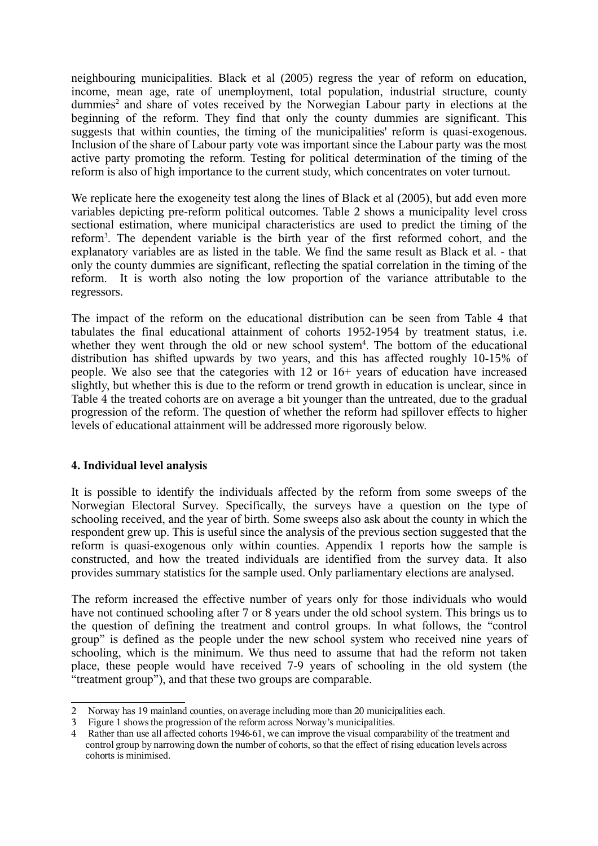neighbouring municipalities. Black et al (2005) regress the year of reform on education, income, mean age, rate of unemployment, total population, industrial structure, county dummies<sup>[2](#page-4-0)</sup> and share of votes received by the Norwegian Labour party in elections at the beginning of the reform. They find that only the county dummies are significant. This suggests that within counties, the timing of the municipalities' reform is quasi-exogenous. Inclusion of the share of Labour party vote was important since the Labour party was the most active party promoting the reform. Testing for political determination of the timing of the reform is also of high importance to the current study, which concentrates on voter turnout.

We replicate here the exogeneity test along the lines of Black et al (2005), but add even more variables depicting pre-reform political outcomes. Table 2 shows a municipality level cross sectional estimation, where municipal characteristics are used to predict the timing of the reform<sup>[3](#page-4-1)</sup>. The dependent variable is the birth year of the first reformed cohort, and the explanatory variables are as listed in the table. We find the same result as Black et al. - that only the county dummies are significant, reflecting the spatial correlation in the timing of the reform. It is worth also noting the low proportion of the variance attributable to the regressors.

The impact of the reform on the educational distribution can be seen from Table 4 that tabulates the final educational attainment of cohorts 1952-1954 by treatment status, i.e. whether they went through the old or new school system<sup>[4](#page-4-2)</sup>. The bottom of the educational distribution has shifted upwards by two years, and this has affected roughly 10-15% of people. We also see that the categories with 12 or 16+ years of education have increased slightly, but whether this is due to the reform or trend growth in education is unclear, since in Table 4 the treated cohorts are on average a bit younger than the untreated, due to the gradual progression of the reform. The question of whether the reform had spillover effects to higher levels of educational attainment will be addressed more rigorously below.

# **4. Individual level analysis**

It is possible to identify the individuals affected by the reform from some sweeps of the Norwegian Electoral Survey. Specifically, the surveys have a question on the type of schooling received, and the year of birth. Some sweeps also ask about the county in which the respondent grew up. This is useful since the analysis of the previous section suggested that the reform is quasi-exogenous only within counties. Appendix 1 reports how the sample is constructed, and how the treated individuals are identified from the survey data. It also provides summary statistics for the sample used. Only parliamentary elections are analysed.

The reform increased the effective number of years only for those individuals who would have not continued schooling after 7 or 8 years under the old school system. This brings us to the question of defining the treatment and control groups. In what follows, the "control group" is defined as the people under the new school system who received nine years of schooling, which is the minimum. We thus need to assume that had the reform not taken place, these people would have received 7-9 years of schooling in the old system (the "treatment group"), and that these two groups are comparable.

<span id="page-4-0"></span><sup>2</sup> Norway has 19 mainland counties, on average including more than 20 municipalities each.

<span id="page-4-1"></span><sup>3</sup> Figure 1 shows the progression of the reform across Norway's municipalities.

<span id="page-4-2"></span><sup>4</sup> Rather than use all affected cohorts 1946-61, we can improve the visual comparability of the treatment and control group by narrowing down the number of cohorts, so that the effect of rising education levels across cohorts is minimised.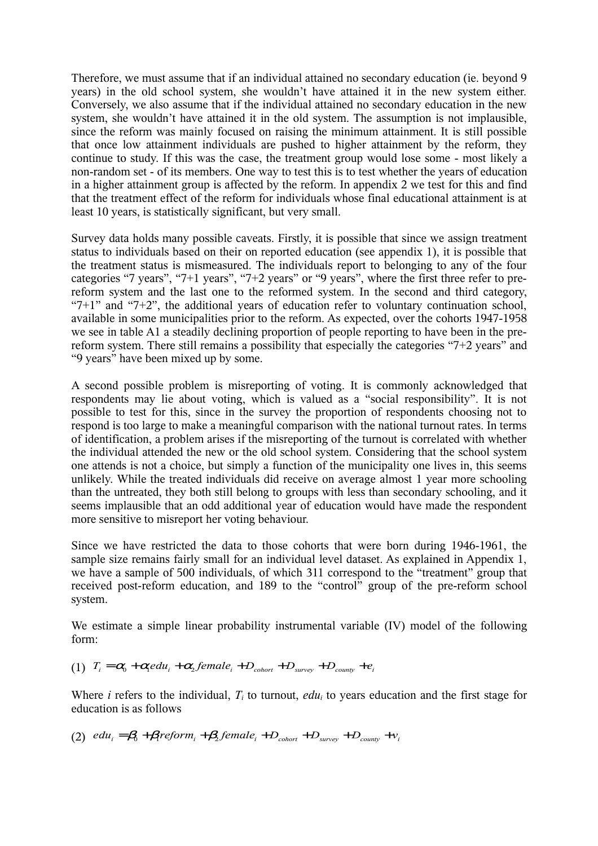Therefore, we must assume that if an individual attained no secondary education (ie. beyond 9 years) in the old school system, she wouldn't have attained it in the new system either. Conversely, we also assume that if the individual attained no secondary education in the new system, she wouldn't have attained it in the old system. The assumption is not implausible, since the reform was mainly focused on raising the minimum attainment. It is still possible that once low attainment individuals are pushed to higher attainment by the reform, they continue to study. If this was the case, the treatment group would lose some - most likely a non-random set - of its members. One way to test this is to test whether the years of education in a higher attainment group is affected by the reform. In appendix 2 we test for this and find that the treatment effect of the reform for individuals whose final educational attainment is at least 10 years, is statistically significant, but very small.

Survey data holds many possible caveats. Firstly, it is possible that since we assign treatment status to individuals based on their on reported education (see appendix 1), it is possible that the treatment status is mismeasured. The individuals report to belonging to any of the four categories "7 years", "7+1 years", "7+2 years" or "9 years", where the first three refer to prereform system and the last one to the reformed system. In the second and third category, "7+1" and "7+2", the additional years of education refer to voluntary continuation school, available in some municipalities prior to the reform. As expected, over the cohorts 1947-1958 we see in table A1 a steadily declining proportion of people reporting to have been in the prereform system. There still remains a possibility that especially the categories "7+2 years" and "9 years" have been mixed up by some.

A second possible problem is misreporting of voting. It is commonly acknowledged that respondents may lie about voting, which is valued as a "social responsibility". It is not possible to test for this, since in the survey the proportion of respondents choosing not to respond is too large to make a meaningful comparison with the national turnout rates. In terms of identification, a problem arises if the misreporting of the turnout is correlated with whether the individual attended the new or the old school system. Considering that the school system one attends is not a choice, but simply a function of the municipality one lives in, this seems unlikely. While the treated individuals did receive on average almost 1 year more schooling than the untreated, they both still belong to groups with less than secondary schooling, and it seems implausible that an odd additional year of education would have made the respondent more sensitive to misreport her voting behaviour.

Since we have restricted the data to those cohorts that were born during 1946-1961, the sample size remains fairly small for an individual level dataset. As explained in Appendix 1, we have a sample of 500 individuals, of which 311 correspond to the "treatment" group that received post-reform education, and 189 to the "control" group of the pre-reform school system.

We estimate a simple linear probability instrumental variable (IV) model of the following form:

(1)  $T_i = \alpha_0 + \alpha_1 e du_i + \alpha_2 f e male_i + D_{\text{color}} + D_{\text{survey}} + D_{\text{county}} + e_i$ 

Where *i* refers to the individual, *T<sup>i</sup>* to turnout, *edu<sup>i</sup>* to years education and the first stage for education is as follows

(2)  $edu_i = \beta_0 + \beta_i$  *reform*<sub>i</sub>  $+\beta_2$  *female*<sub>i</sub>  $+D_{\text{color}} + D_{\text{survey}} + D_{\text{conv}} + v_i$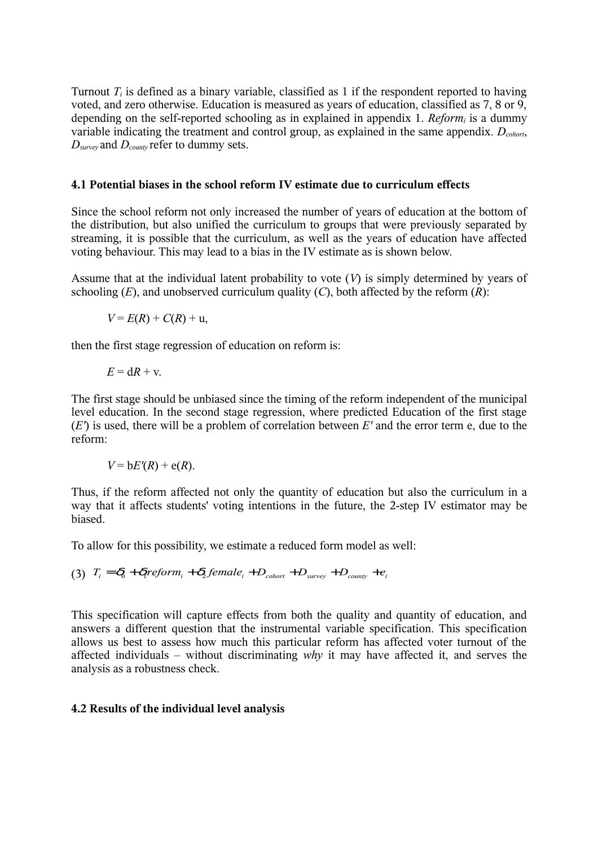Turnout  $T_i$  is defined as a binary variable, classified as 1 if the respondent reported to having voted, and zero otherwise. Education is measured as years of education, classified as 7, 8 or 9, depending on the self-reported schooling as in explained in appendix 1. *Reform<sup>i</sup>* is a dummy variable indicating the treatment and control group, as explained in the same appendix. *Dcohort*, *Dsurvey* and *Dcounty* refer to dummy sets.

### **4.1 Potential biases in the school reform IV estimate due to curriculum effects**

Since the school reform not only increased the number of years of education at the bottom of the distribution, but also unified the curriculum to groups that were previously separated by streaming, it is possible that the curriculum, as well as the years of education have affected voting behaviour. This may lead to a bias in the IV estimate as is shown below.

Assume that at the individual latent probability to vote (*V*) is simply determined by years of schooling  $(E)$ , and unobserved curriculum quality  $(C)$ , both affected by the reform  $(R)$ :

$$
V = E(R) + C(R) + u,
$$

then the first stage regression of education on reform is:

$$
E = dR + v.
$$

The first stage should be unbiased since the timing of the reform independent of the municipal level education. In the second stage regression, where predicted Education of the first stage (*E'*) is used, there will be a problem of correlation between *E'* and the error term e, due to the reform:

$$
V = bE'(R) + e(R).
$$

Thus, if the reform affected not only the quantity of education but also the curriculum in a way that it affects students' voting intentions in the future, the 2-step IV estimator may be biased.

To allow for this possibility, we estimate a reduced form model as well:

$$
(3) Ti = \delta0 + \deltar eformi + \delta2 femalei + Dcohort + Dsurvey + Dcounty + ei
$$

This specification will capture effects from both the quality and quantity of education, and answers a different question that the instrumental variable specification. This specification allows us best to assess how much this particular reform has affected voter turnout of the affected individuals – without discriminating *why* it may have affected it, and serves the analysis as a robustness check.

# **4.2 Results of the individual level analysis**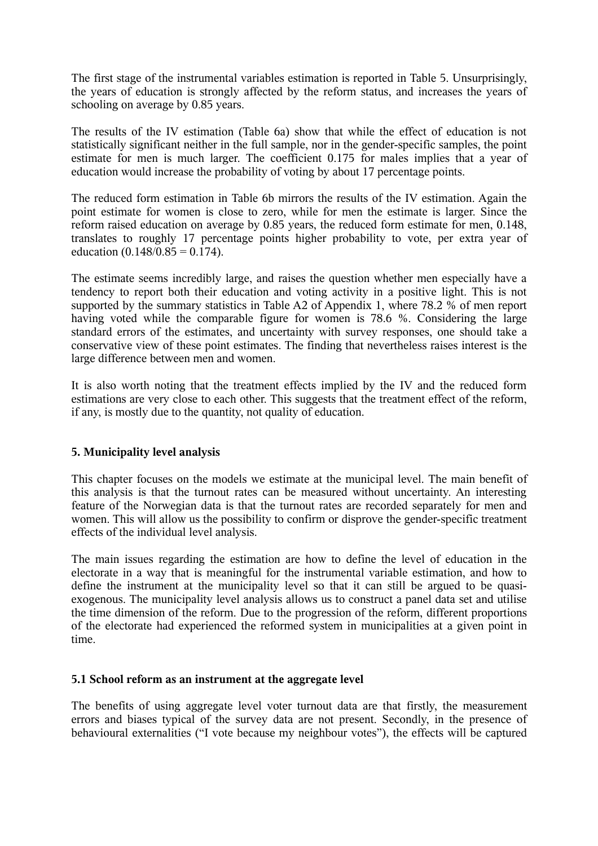The first stage of the instrumental variables estimation is reported in Table 5. Unsurprisingly, the years of education is strongly affected by the reform status, and increases the years of schooling on average by 0.85 years.

The results of the IV estimation (Table 6a) show that while the effect of education is not statistically significant neither in the full sample, nor in the gender-specific samples, the point estimate for men is much larger. The coefficient 0.175 for males implies that a year of education would increase the probability of voting by about 17 percentage points.

The reduced form estimation in Table 6b mirrors the results of the IV estimation. Again the point estimate for women is close to zero, while for men the estimate is larger. Since the reform raised education on average by 0.85 years, the reduced form estimate for men, 0.148, translates to roughly 17 percentage points higher probability to vote, per extra year of education  $(0.148/0.85 = 0.174)$ .

The estimate seems incredibly large, and raises the question whether men especially have a tendency to report both their education and voting activity in a positive light. This is not supported by the summary statistics in Table A2 of Appendix 1, where 78.2 % of men report having voted while the comparable figure for women is 78.6 %. Considering the large standard errors of the estimates, and uncertainty with survey responses, one should take a conservative view of these point estimates. The finding that nevertheless raises interest is the large difference between men and women.

It is also worth noting that the treatment effects implied by the IV and the reduced form estimations are very close to each other. This suggests that the treatment effect of the reform, if any, is mostly due to the quantity, not quality of education.

# **5. Municipality level analysis**

This chapter focuses on the models we estimate at the municipal level. The main benefit of this analysis is that the turnout rates can be measured without uncertainty. An interesting feature of the Norwegian data is that the turnout rates are recorded separately for men and women. This will allow us the possibility to confirm or disprove the gender-specific treatment effects of the individual level analysis.

The main issues regarding the estimation are how to define the level of education in the electorate in a way that is meaningful for the instrumental variable estimation, and how to define the instrument at the municipality level so that it can still be argued to be quasiexogenous. The municipality level analysis allows us to construct a panel data set and utilise the time dimension of the reform. Due to the progression of the reform, different proportions of the electorate had experienced the reformed system in municipalities at a given point in time.

# **5.1 School reform as an instrument at the aggregate level**

The benefits of using aggregate level voter turnout data are that firstly, the measurement errors and biases typical of the survey data are not present. Secondly, in the presence of behavioural externalities ("I vote because my neighbour votes"), the effects will be captured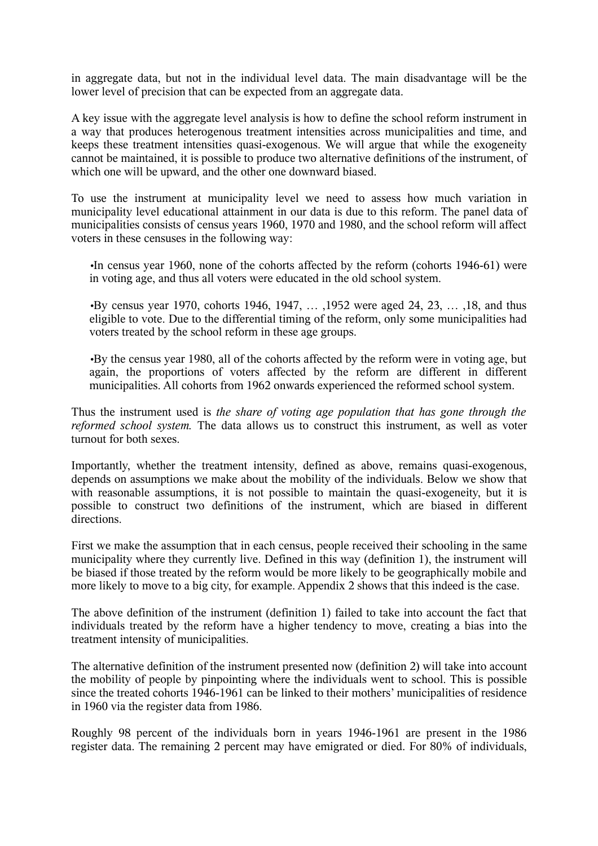in aggregate data, but not in the individual level data. The main disadvantage will be the lower level of precision that can be expected from an aggregate data.

A key issue with the aggregate level analysis is how to define the school reform instrument in a way that produces heterogenous treatment intensities across municipalities and time, and keeps these treatment intensities quasi-exogenous. We will argue that while the exogeneity cannot be maintained, it is possible to produce two alternative definitions of the instrument, of which one will be upward, and the other one downward biased.

To use the instrument at municipality level we need to assess how much variation in municipality level educational attainment in our data is due to this reform. The panel data of municipalities consists of census years 1960, 1970 and 1980, and the school reform will affect voters in these censuses in the following way:

•In census year 1960, none of the cohorts affected by the reform (cohorts 1946-61) were in voting age, and thus all voters were educated in the old school system.

•By census year 1970, cohorts 1946, 1947, ..., 1952 were aged 24, 23, ..., 18, and thus eligible to vote. Due to the differential timing of the reform, only some municipalities had voters treated by the school reform in these age groups.

•By the census year 1980, all of the cohorts affected by the reform were in voting age, but again, the proportions of voters affected by the reform are different in different municipalities. All cohorts from 1962 onwards experienced the reformed school system.

Thus the instrument used is *the share of voting age population that has gone through the reformed school system.* The data allows us to construct this instrument, as well as voter turnout for both sexes.

Importantly, whether the treatment intensity, defined as above, remains quasi-exogenous, depends on assumptions we make about the mobility of the individuals. Below we show that with reasonable assumptions, it is not possible to maintain the quasi-exogeneity, but it is possible to construct two definitions of the instrument, which are biased in different directions.

First we make the assumption that in each census, people received their schooling in the same municipality where they currently live. Defined in this way (definition 1), the instrument will be biased if those treated by the reform would be more likely to be geographically mobile and more likely to move to a big city, for example. Appendix 2 shows that this indeed is the case.

The above definition of the instrument (definition 1) failed to take into account the fact that individuals treated by the reform have a higher tendency to move, creating a bias into the treatment intensity of municipalities.

The alternative definition of the instrument presented now (definition 2) will take into account the mobility of people by pinpointing where the individuals went to school. This is possible since the treated cohorts 1946-1961 can be linked to their mothers' municipalities of residence in 1960 via the register data from 1986.

Roughly 98 percent of the individuals born in years 1946-1961 are present in the 1986 register data. The remaining 2 percent may have emigrated or died. For 80% of individuals,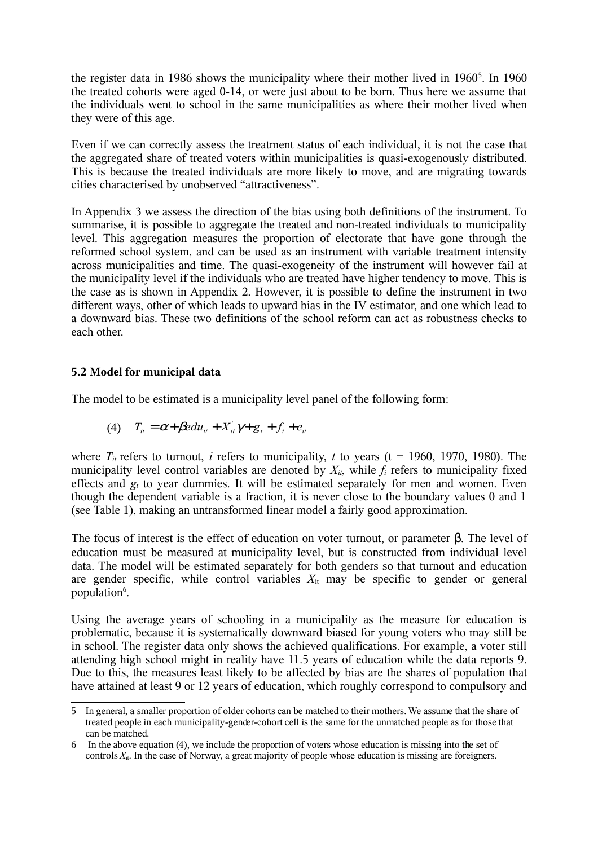the register data in 1986 shows the municipality where their mother lived in 1960<sup>[5](#page-9-0)</sup>. In 1960 the treated cohorts were aged 0-14, or were just about to be born. Thus here we assume that the individuals went to school in the same municipalities as where their mother lived when they were of this age.

Even if we can correctly assess the treatment status of each individual, it is not the case that the aggregated share of treated voters within municipalities is quasi-exogenously distributed. This is because the treated individuals are more likely to move, and are migrating towards cities characterised by unobserved "attractiveness".

In Appendix 3 we assess the direction of the bias using both definitions of the instrument. To summarise, it is possible to aggregate the treated and non-treated individuals to municipality level. This aggregation measures the proportion of electorate that have gone through the reformed school system, and can be used as an instrument with variable treatment intensity across municipalities and time. The quasi-exogeneity of the instrument will however fail at the municipality level if the individuals who are treated have higher tendency to move. This is the case as is shown in Appendix 2. However, it is possible to define the instrument in two different ways, other of which leads to upward bias in the IV estimator, and one which lead to a downward bias. These two definitions of the school reform can act as robustness checks to each other.

# **5.2 Model for municipal data**

The model to be estimated is a municipality level panel of the following form:

$$
(4) \tTit = \alpha + \beta e duit + Xit' \gamma + gt + fi + eit
$$

where  $T_i$  refers to turnout, *i* refers to municipality, *t* to years (t = 1960, 1970, 1980). The municipality level control variables are denoted by  $X_{it}$ , while  $f_i$  refers to municipality fixed effects and *g<sup>t</sup>* to year dummies. It will be estimated separately for men and women. Even though the dependent variable is a fraction, it is never close to the boundary values 0 and 1 (see Table 1), making an untransformed linear model a fairly good approximation.

The focus of interest is the effect of education on voter turnout, or parameter β. The level of education must be measured at municipality level, but is constructed from individual level data. The model will be estimated separately for both genders so that turnout and education are gender specific, while control variables  $X_{it}$  may be specific to gender or general population<sup>[6](#page-9-1)</sup>.

Using the average years of schooling in a municipality as the measure for education is problematic, because it is systematically downward biased for young voters who may still be in school. The register data only shows the achieved qualifications. For example, a voter still attending high school might in reality have 11.5 years of education while the data reports 9. Due to this, the measures least likely to be affected by bias are the shares of population that have attained at least 9 or 12 years of education, which roughly correspond to compulsory and

<span id="page-9-0"></span><sup>5</sup> In general, a smaller proportion of older cohorts can be matched to their mothers. We assume that the share of treated people in each municipality-gender-cohort cell is the same for the unmatched people as for those that can be matched.

<span id="page-9-1"></span><sup>6</sup> In the above equation (4), we include the proportion of voters whose education is missing into the set of controls  $X_{\text{it}}$ . In the case of Norway, a great majority of people whose education is missing are foreigners.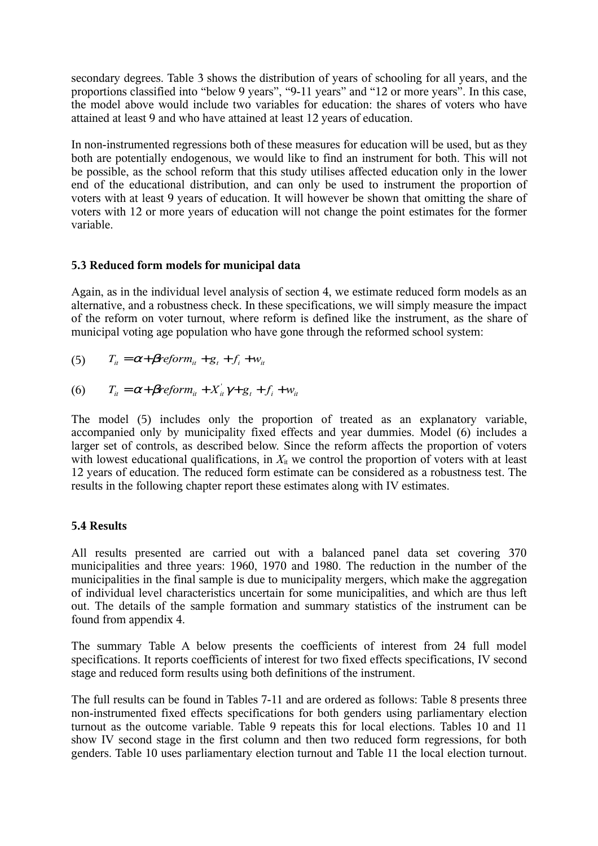secondary degrees. Table 3 shows the distribution of years of schooling for all years, and the proportions classified into "below 9 years", "9-11 years" and "12 or more years". In this case, the model above would include two variables for education: the shares of voters who have attained at least 9 and who have attained at least 12 years of education.

In non-instrumented regressions both of these measures for education will be used, but as they both are potentially endogenous, we would like to find an instrument for both. This will not be possible, as the school reform that this study utilises affected education only in the lower end of the educational distribution, and can only be used to instrument the proportion of voters with at least 9 years of education. It will however be shown that omitting the share of voters with 12 or more years of education will not change the point estimates for the former variable.

# **5.3 Reduced form models for municipal data**

Again, as in the individual level analysis of section 4, we estimate reduced form models as an alternative, and a robustness check. In these specifications, we will simply measure the impact of the reform on voter turnout, where reform is defined like the instrument, as the share of municipal voting age population who have gone through the reformed school system:

$$
(5) \qquad T_{it} = \alpha + \beta reform_{it} + g_t + f_i + w_{it}
$$

$$
(6) \qquad T_{ii} = \alpha + \beta \text{reform}_{ii} + X_{ii}' \gamma + g_t + f_i + w_{it}
$$

The model (5) includes only the proportion of treated as an explanatory variable, accompanied only by municipality fixed effects and year dummies. Model (6) includes a larger set of controls, as described below. Since the reform affects the proportion of voters with lowest educational qualifications, in  $X_{i}$  we control the proportion of voters with at least 12 years of education. The reduced form estimate can be considered as a robustness test. The results in the following chapter report these estimates along with IV estimates.

# **5.4 Results**

All results presented are carried out with a balanced panel data set covering 370 municipalities and three years: 1960, 1970 and 1980. The reduction in the number of the municipalities in the final sample is due to municipality mergers, which make the aggregation of individual level characteristics uncertain for some municipalities, and which are thus left out. The details of the sample formation and summary statistics of the instrument can be found from appendix 4.

The summary Table A below presents the coefficients of interest from 24 full model specifications. It reports coefficients of interest for two fixed effects specifications, IV second stage and reduced form results using both definitions of the instrument.

The full results can be found in Tables 7-11 and are ordered as follows: Table 8 presents three non-instrumented fixed effects specifications for both genders using parliamentary election turnout as the outcome variable. Table 9 repeats this for local elections. Tables 10 and 11 show IV second stage in the first column and then two reduced form regressions, for both genders. Table 10 uses parliamentary election turnout and Table 11 the local election turnout.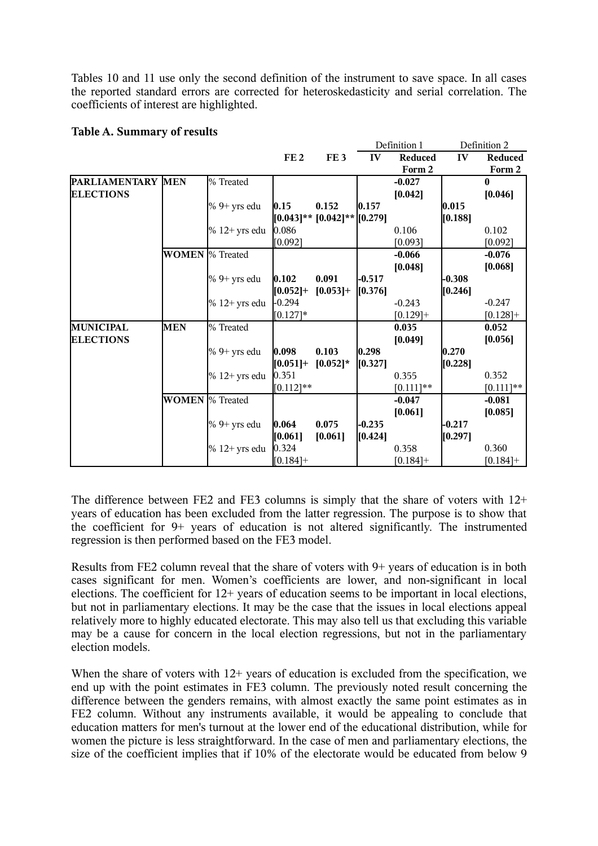Tables 10 and 11 use only the second definition of the instrument to save space. In all cases the reported standard errors are corrected for heteroskedasticity and serial correlation. The coefficients of interest are highlighted.

# **Table A. Summary of results**

|                   |              |                       |                 |                                     |          | Definition 1 |          | Definition 2 |
|-------------------|--------------|-----------------------|-----------------|-------------------------------------|----------|--------------|----------|--------------|
|                   |              |                       | FE <sub>2</sub> | FE <sub>3</sub>                     | IV       | Reduced      | IV       | Reduced      |
|                   |              |                       |                 |                                     |          | Form 2       |          | Form 2       |
| PARLIAMENTARY MEN |              | % Treated             |                 |                                     |          | $-0.027$     |          | $\bf{0}$     |
| <b>ELECTIONS</b>  |              |                       |                 |                                     |          | [0.042]      |          | [0.046]      |
|                   |              | $%9+$ yrs edu         | 0.15            | 0.152                               | 0.157    |              | 0.015    |              |
|                   |              |                       |                 | $(0.043]$ ** $(0.042]$ ** $(0.279)$ |          |              | [0.188]  |              |
|                   |              | $% 12+$ yrs edu       | 0.086           |                                     |          | 0.106        |          | 0.102        |
|                   |              |                       | [0.092]         |                                     |          | [0.093]      |          | [0.092]      |
|                   | <b>WOMEN</b> | <sup>[%</sup> Treated |                 |                                     |          | $-0.066$     |          | $-0.076$     |
|                   |              |                       |                 |                                     |          | [0.048]      |          | [0.068]      |
|                   |              | $\%$ 9+ yrs edu       | 0.102           | 0.091                               | $-0.517$ |              | $-0.308$ |              |
|                   |              |                       | $[0.052]+$      | $[0.053]+$                          | [0.376]  |              | [0.246]  |              |
|                   |              | $% 12+$ yrs edu       | $-0.294$        |                                     |          | $-0.243$     |          | $-0.247$     |
|                   |              |                       | $[0.127]*$      |                                     |          | $[0.129] +$  |          | $[0.128]$ +  |
| <b>MUNICIPAL</b>  | <b>MEN</b>   | % Treated             |                 |                                     |          | 0.035        |          | 0.052        |
| <b>ELECTIONS</b>  |              |                       |                 |                                     |          | [0.049]      |          | [0.056]      |
|                   |              | $%9+$ yrs edu         | 0.098           | 0.103                               | 0.298    |              | 0.270    |              |
|                   |              |                       | $[0.051] +$     | $[0.052]$ *                         | [0.327]  |              | [0.228]  |              |
|                   |              | $% 12+$ yrs edu       | 0.351           |                                     |          | 0.355        |          | 0.352        |
|                   |              |                       | $[0.112]$ **    |                                     |          | $[0.111]$ ** |          | $[0.111]$ ** |
|                   | <b>WOMEN</b> | % Treated             |                 |                                     |          | $-0.047$     |          | $-0.081$     |
|                   |              |                       |                 |                                     |          | [0.061]      |          | [0.085]      |
|                   |              | $%9+$ yrs edu         | 0.064           | 0.075                               | $-0.235$ |              | $-0.217$ |              |
|                   |              |                       | [0.061]         | [0.061]                             | [0.424]  |              | [0.297]  |              |
|                   |              | $\%$ 12+ vrs edu      | 0.324           |                                     |          | 0.358        |          | 0.360        |
|                   |              |                       | $[0.184] +$     |                                     |          | $[0.184] +$  |          | $[0.184] +$  |

The difference between FE2 and FE3 columns is simply that the share of voters with 12+ years of education has been excluded from the latter regression. The purpose is to show that the coefficient for 9+ years of education is not altered significantly. The instrumented regression is then performed based on the FE3 model.

Results from FE2 column reveal that the share of voters with 9+ years of education is in both cases significant for men. Women's coefficients are lower, and non-significant in local elections. The coefficient for 12+ years of education seems to be important in local elections, but not in parliamentary elections. It may be the case that the issues in local elections appeal relatively more to highly educated electorate. This may also tell us that excluding this variable may be a cause for concern in the local election regressions, but not in the parliamentary election models.

When the share of voters with 12+ years of education is excluded from the specification, we end up with the point estimates in FE3 column. The previously noted result concerning the difference between the genders remains, with almost exactly the same point estimates as in FE2 column. Without any instruments available, it would be appealing to conclude that education matters for men's turnout at the lower end of the educational distribution, while for women the picture is less straightforward. In the case of men and parliamentary elections, the size of the coefficient implies that if 10% of the electorate would be educated from below 9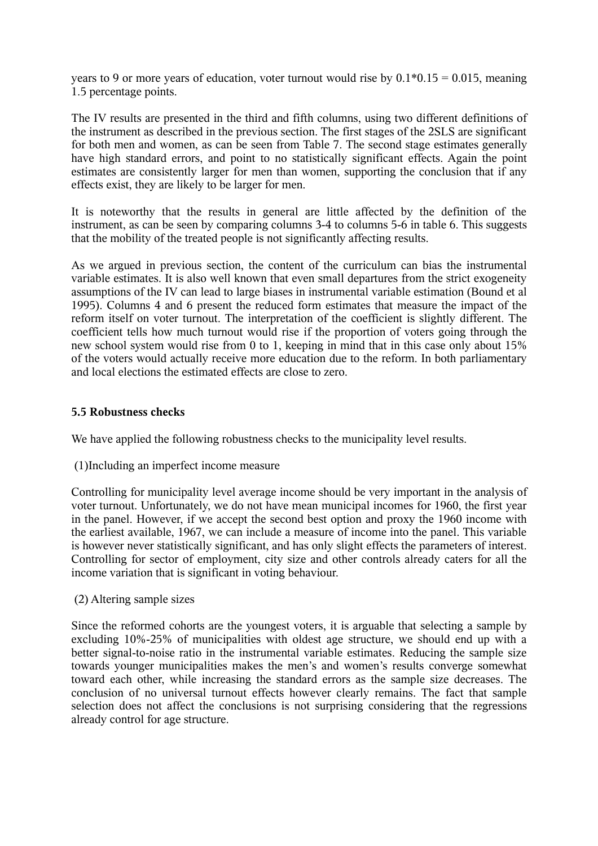years to 9 or more years of education, voter turnout would rise by  $0.1*0.15 = 0.015$ , meaning 1.5 percentage points.

The IV results are presented in the third and fifth columns, using two different definitions of the instrument as described in the previous section. The first stages of the 2SLS are significant for both men and women, as can be seen from Table 7. The second stage estimates generally have high standard errors, and point to no statistically significant effects. Again the point estimates are consistently larger for men than women, supporting the conclusion that if any effects exist, they are likely to be larger for men.

It is noteworthy that the results in general are little affected by the definition of the instrument, as can be seen by comparing columns 3-4 to columns 5-6 in table 6. This suggests that the mobility of the treated people is not significantly affecting results.

As we argued in previous section, the content of the curriculum can bias the instrumental variable estimates. It is also well known that even small departures from the strict exogeneity assumptions of the IV can lead to large biases in instrumental variable estimation (Bound et al 1995). Columns 4 and 6 present the reduced form estimates that measure the impact of the reform itself on voter turnout. The interpretation of the coefficient is slightly different. The coefficient tells how much turnout would rise if the proportion of voters going through the new school system would rise from 0 to 1, keeping in mind that in this case only about 15% of the voters would actually receive more education due to the reform. In both parliamentary and local elections the estimated effects are close to zero.

# **5.5 Robustness checks**

We have applied the following robustness checks to the municipality level results.

(1)Including an imperfect income measure

Controlling for municipality level average income should be very important in the analysis of voter turnout. Unfortunately, we do not have mean municipal incomes for 1960, the first year in the panel. However, if we accept the second best option and proxy the 1960 income with the earliest available, 1967, we can include a measure of income into the panel. This variable is however never statistically significant, and has only slight effects the parameters of interest. Controlling for sector of employment, city size and other controls already caters for all the income variation that is significant in voting behaviour.

(2) Altering sample sizes

Since the reformed cohorts are the youngest voters, it is arguable that selecting a sample by excluding 10%-25% of municipalities with oldest age structure, we should end up with a better signal-to-noise ratio in the instrumental variable estimates. Reducing the sample size towards younger municipalities makes the men's and women's results converge somewhat toward each other, while increasing the standard errors as the sample size decreases. The conclusion of no universal turnout effects however clearly remains. The fact that sample selection does not affect the conclusions is not surprising considering that the regressions already control for age structure.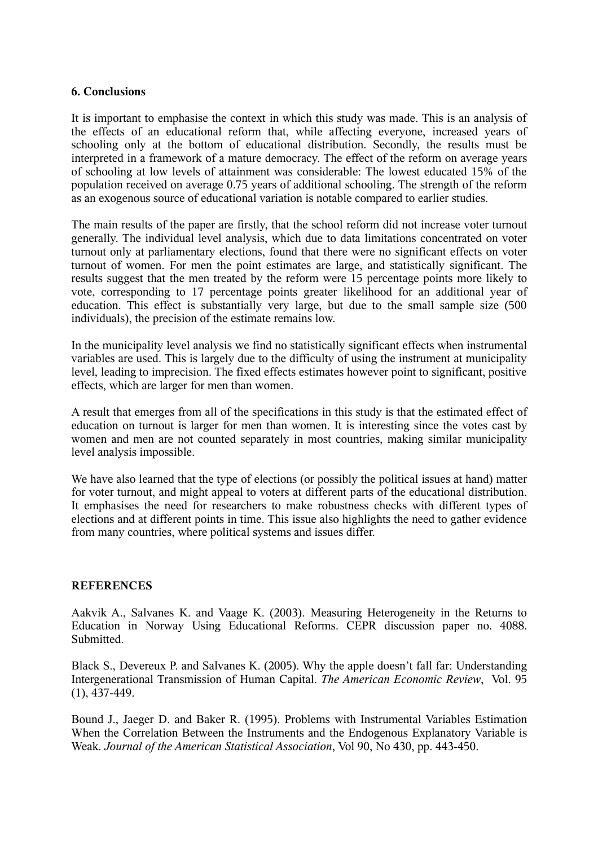# **6. Conclusions**

It is important to emphasise the context in which this study was made. This is an analysis of the effects of an educational reform that, while affecting everyone, increased years of schooling only at the bottom of educational distribution. Secondly, the results must be interpreted in a framework of a mature democracy. The effect of the reform on average years of schooling at low levels of attainment was considerable: The lowest educated 15% of the population received on average 0.75 years of additional schooling. The strength of the reform as an exogenous source of educational variation is notable compared to earlier studies.

The main results of the paper are firstly, that the school reform did not increase voter turnout generally. The individual level analysis, which due to data limitations concentrated on voter turnout only at parliamentary elections, found that there were no significant effects on voter turnout of women. For men the point estimates are large, and statistically significant. The results suggest that the men treated by the reform were 15 percentage points more likely to vote, corresponding to 17 percentage points greater likelihood for an additional year of education. This effect is substantially very large, but due to the small sample size (500 individuals), the precision of the estimate remains low.

In the municipality level analysis we find no statistically significant effects when instrumental variables are used. This is largely due to the difficulty of using the instrument at municipality level, leading to imprecision. The fixed effects estimates however point to significant, positive effects, which are larger for men than women.

A result that emerges from all of the specifications in this study is that the estimated effect of education on turnout is larger for men than women. It is interesting since the votes cast by women and men are not counted separately in most countries, making similar municipality level analysis impossible.

We have also learned that the type of elections (or possibly the political issues at hand) matter for voter turnout, and might appeal to voters at different parts of the educational distribution. It emphasises the need for researchers to make robustness checks with different types of elections and at different points in time. This issue also highlights the need to gather evidence from many countries, where political systems and issues differ.

# **REFERENCES**

Aakvik A., Salvanes K. and Vaage K. (2003). Measuring Heterogeneity in the Returns to Education in Norway Using Educational Reforms. CEPR discussion paper no. 4088. Submitted.

Black S., Devereux P. and Salvanes K. (2005). Why the apple doesn't fall far: Understanding Intergenerational Transmission of Human Capital. *The American Economic Review*, Vol. 95 (1), 437-449.

Bound J., Jaeger D. and Baker R. (1995). Problems with Instrumental Variables Estimation When the Correlation Between the Instruments and the Endogenous Explanatory Variable is Weak. *Journal of the American Statistical Association*, Vol 90, No 430, pp. 443-450.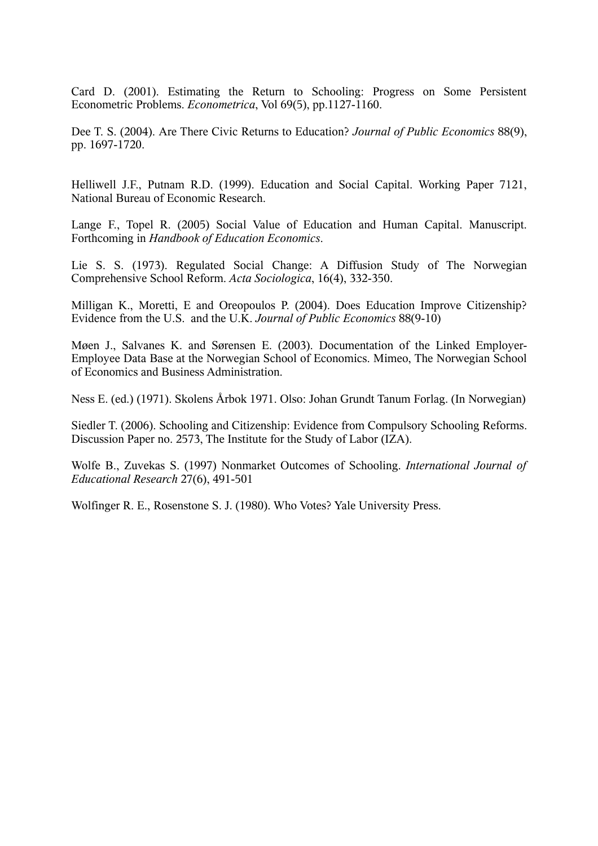Card D. (2001). Estimating the Return to Schooling: Progress on Some Persistent Econometric Problems. *Econometrica*, Vol 69(5), pp.1127-1160.

Dee T. S. (2004). Are There Civic Returns to Education? *Journal of Public Economics* 88(9), pp. 1697-1720.

Helliwell J.F., Putnam R.D. (1999). Education and Social Capital. Working Paper 7121, National Bureau of Economic Research.

Lange F., Topel R. (2005) Social Value of Education and Human Capital. Manuscript. Forthcoming in *Handbook of Education Economics*.

Lie S. S. (1973). Regulated Social Change: A Diffusion Study of The Norwegian Comprehensive School Reform. *Acta Sociologica*, 16(4), 332-350.

Milligan K., Moretti, E and Oreopoulos P. (2004). Does Education Improve Citizenship? Evidence from the U.S. and the U.K. *Journal of Public Economics* 88(9-10)

Møen J., Salvanes K. and Sørensen E. (2003). Documentation of the Linked Employer-Employee Data Base at the Norwegian School of Economics. Mimeo, The Norwegian School of Economics and Business Administration.

Ness E. (ed.) (1971). Skolens Årbok 1971. Olso: Johan Grundt Tanum Forlag. (In Norwegian)

Siedler T. (2006). Schooling and Citizenship: Evidence from Compulsory Schooling Reforms. Discussion Paper no. 2573, The Institute for the Study of Labor (IZA).

Wolfe B., Zuvekas S. (1997) Nonmarket Outcomes of Schooling. *International Journal of Educational Research* 27(6), 491-501

Wolfinger R. E., Rosenstone S. J. (1980). Who Votes? Yale University Press.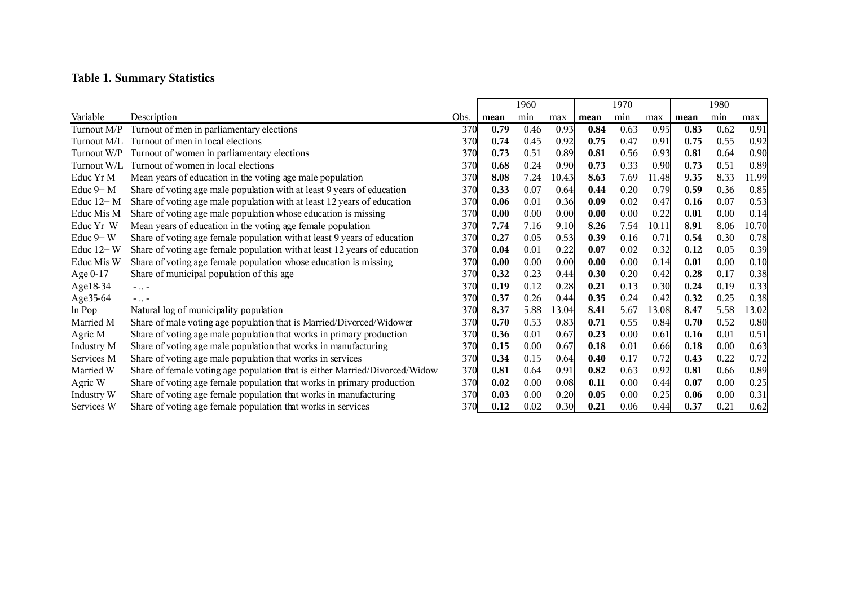# **Table 1. Summary Statistics**

|              |                                                                             |      | 1960 |      | 1970  |      |      | 1980  |      |      |       |
|--------------|-----------------------------------------------------------------------------|------|------|------|-------|------|------|-------|------|------|-------|
| Variable     | Description                                                                 | Obs. | mean | min  | max   | mean | min  | max   | mean | min  | max   |
| Turnout M/P  | Turnout of men in parliamentary elections                                   | 370  | 0.79 | 0.46 | 0.93  | 0.84 | 0.63 | 0.95  | 0.83 | 0.62 | 0.91  |
| Turnout M/L  | Turnout of men in local elections                                           | 370  | 0.74 | 0.45 | 0.92  | 0.75 | 0.47 | 0.91  | 0.75 | 0.55 | 0.92  |
| Turnout W/P  | Turnout of women in parliamentary elections                                 | 370  | 0.73 | 0.51 | 0.89  | 0.81 | 0.56 | 0.93  | 0.81 | 0.64 | 0.90  |
| Turnout W/L  | Turnout of women in local elections                                         | 370  | 0.68 | 0.24 | 0.90  | 0.73 | 0.33 | 0.90  | 0.73 | 0.51 | 0.89  |
| Educ Yr M    | Mean years of education in the voting age male population                   | 370  | 8.08 | 7.24 | 10.43 | 8.63 | 7.69 | 11.48 | 9.35 | 8.33 | 11.99 |
| Educ $9+$ M  | Share of voting age male population with at least 9 years of education      | 370  | 0.33 | 0.07 | 0.64  | 0.44 | 0.20 | 0.79  | 0.59 | 0.36 | 0.85  |
| Educ $12+M$  | Share of voting age male population with at least 12 years of education     | 370  | 0.06 | 0.01 | 0.36  | 0.09 | 0.02 | 0.47  | 0.16 | 0.07 | 0.53  |
| Educ Mis M   | Share of voting age male population whose education is missing              | 370  | 0.00 | 0.00 | 0.00  | 0.00 | 0.00 | 0.22  | 0.01 | 0.00 | 0.14  |
| Educ Yr W    | Mean years of education in the voting age female population                 | 370  | 7.74 | 7.16 | 9.10  | 8.26 | 7.54 | 10.11 | 8.91 | 8.06 | 10.70 |
| Educ $9+W$   | Share of voting age female population with at least 9 years of education    | 370  | 0.27 | 0.05 | 0.53  | 0.39 | 0.16 | 0.71  | 0.54 | 0.30 | 0.78  |
| Educ $12+$ W | Share of voting age female population with at least 12 years of education   | 370  | 0.04 | 0.01 | 0.22  | 0.07 | 0.02 | 0.32  | 0.12 | 0.05 | 0.39  |
| Educ Mis W   | Share of voting age female population whose education is missing            | 370  | 0.00 | 0.00 | 0.00  | 0.00 | 0.00 | 0.14  | 0.01 | 0.00 | 0.10  |
| Age 0-17     | Share of municipal population of this age                                   | 370  | 0.32 | 0.23 | 0.44  | 0.30 | 0.20 | 0.42  | 0.28 | 0.17 | 0.38  |
| Age18-34     | $ -$                                                                        | 370  | 0.19 | 0.12 | 0.28  | 0.21 | 0.13 | 0.30  | 0.24 | 0.19 | 0.33  |
| Age35-64     | $ -$                                                                        | 370  | 0.37 | 0.26 | 0.44  | 0.35 | 0.24 | 0.42  | 0.32 | 0.25 | 0.38  |
| ln Pop       | Natural log of municipality population                                      | 370  | 8.37 | 5.88 | 13.04 | 8.41 | 5.67 | 13.08 | 8.47 | 5.58 | 13.02 |
| Married M    | Share of male voting age population that is Married/Divorced/Widower        | 370  | 0.70 | 0.53 | 0.83  | 0.71 | 0.55 | 0.84  | 0.70 | 0.52 | 0.80  |
| Agric M      | Share of voting age male population that works in primary production        | 370  | 0.36 | 0.01 | 0.67  | 0.23 | 0.00 | 0.61  | 0.16 | 0.01 | 0.51  |
| Industry M   | Share of voting age male population that works in manufacturing             | 370  | 0.15 | 0.00 | 0.67  | 0.18 | 0.01 | 0.66  | 0.18 | 0.00 | 0.63  |
| Services M   | Share of voting age male population that works in services                  | 370  | 0.34 | 0.15 | 0.64  | 0.40 | 0.17 | 0.72  | 0.43 | 0.22 | 0.72  |
| Married W    | Share of female voting age population that is either Married/Divorced/Widow | 370  | 0.81 | 0.64 | 0.91  | 0.82 | 0.63 | 0.92  | 0.81 | 0.66 | 0.89  |
| Agric W      | Share of voting age female population that works in primary production      | 370  | 0.02 | 0.00 | 0.08  | 0.11 | 0.00 | 0.44  | 0.07 | 0.00 | 0.25  |
| Industry W   | Share of voting age female population that works in manufacturing           | 370  | 0.03 | 0.00 | 0.20  | 0.05 | 0.00 | 0.25  | 0.06 | 0.00 | 0.31  |
| Services W   | Share of voting age female population that works in services                | 370  | 0.12 | 0.02 | 0.30  | 0.21 | 0.06 | 0.44  | 0.37 | 0.21 | 0.62  |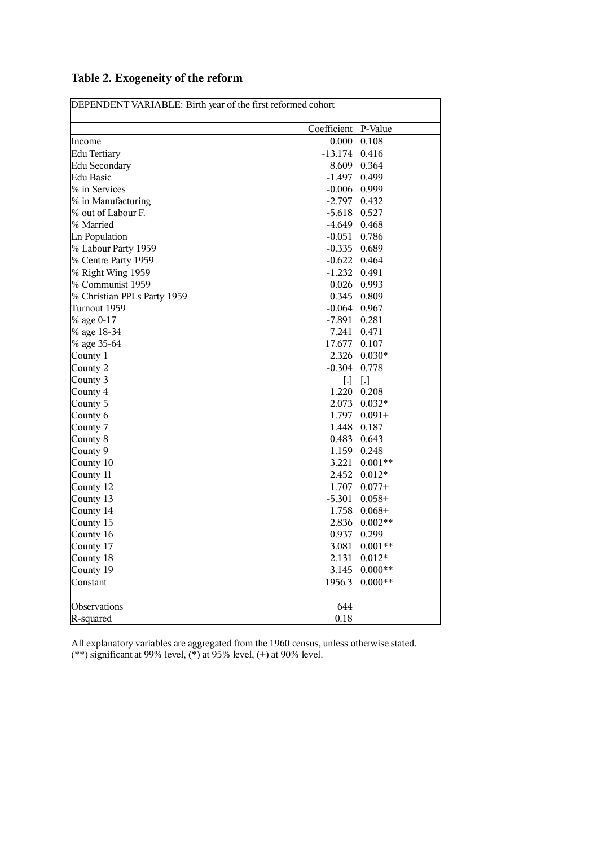|                             | Coefficient P-Value |           |
|-----------------------------|---------------------|-----------|
| Income                      | 0.000               | 0.108     |
| Edu Tertiary                | $-13.174$           | 0.416     |
| Edu Secondary               | 8.609               | 0.364     |
| <b>Edu Basic</b>            | -1.497              | 0.499     |
| % in Services               | $-0.006$            | 0.999     |
| % in Manufacturing          | $-2.797$            | 0.432     |
| % out of Labour F.          | $-5.618$            | 0.527     |
| % Married                   | -4.649              | 0.468     |
| <b>Ln Population</b>        | $-0.051$            | 0.786     |
| % Labour Party 1959         | $-0.335$            | 0.689     |
| % Centre Party 1959         | $-0.622$            | 0.464     |
| % Right Wing 1959           | $-1.232$            | 0.491     |
| % Communist 1959            | 0.026               | 0.993     |
| % Christian PPLs Party 1959 | 0.345               | 0.809     |
| Turnout 1959                | $-0.064$ 0.967      |           |
| % age 0-17                  | -7.891              | 0.281     |
| % age 18-34                 | 7.241               | 0.471     |
| % age 35-64                 | 17.677              | 0.107     |
| County 1                    | 2.326               | $0.030*$  |
| County 2                    | $-0.304$            | 0.778     |
| County 3                    | [.]                 | $[.]$     |
| County 4                    | 1.220               | 0.208     |
| County 5                    | 2.073               | $0.032*$  |
| County 6                    | 1.797               | $0.091 +$ |
| County 7                    | 1.448               | 0.187     |
| County 8                    | 0.483               | 0.643     |
| County 9                    | 1.159               | 0.248     |
| County 10                   | 3.221               | $0.001**$ |
| County 11                   | 2.452               | $0.012*$  |
| County 12                   | 1.707               | $0.077+$  |
| County 13                   | $-5.301$            | $0.058+$  |
| County 14                   | 1.758               | $0.068+$  |
| County 15                   | 2.836               | $0.002**$ |
| County 16                   | 0.937               | 0.299     |
| County 17                   | 3.081               | $0.001**$ |
| County 18                   | 2.131               | $0.012*$  |
| County 19                   | 3.145               | $0.000**$ |
| Constant                    | 1956.3              | $0.000**$ |
| Observations                | 644                 |           |
| R-squared                   | $0.18\,$            |           |

# **Table 2. Exogeneity of the reform**

All explanatory variables are aggregated from the 1960 census, unless otherwise stated.

(\*\*) significant at 99% level, (\*) at 95% level, (+) at 90% level.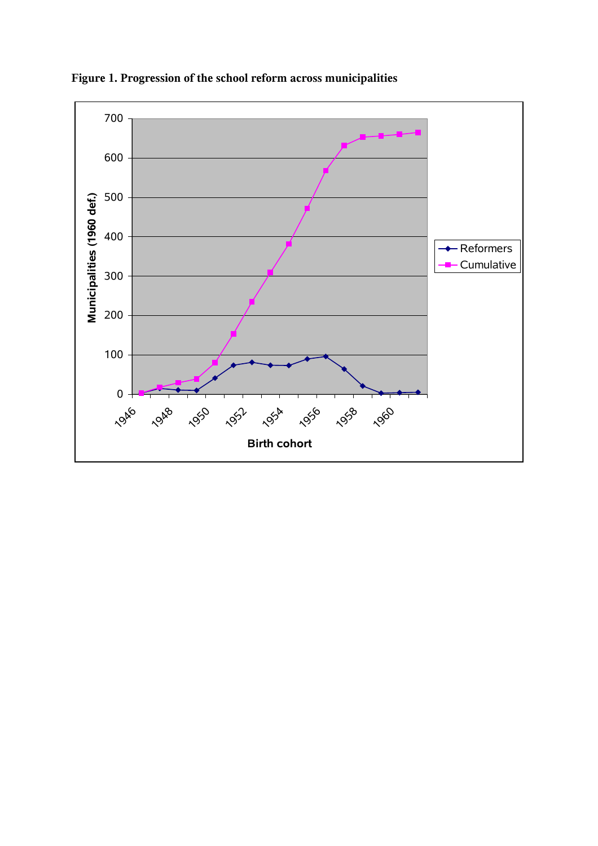

**Figure 1. Progression of the school reform across municipalities**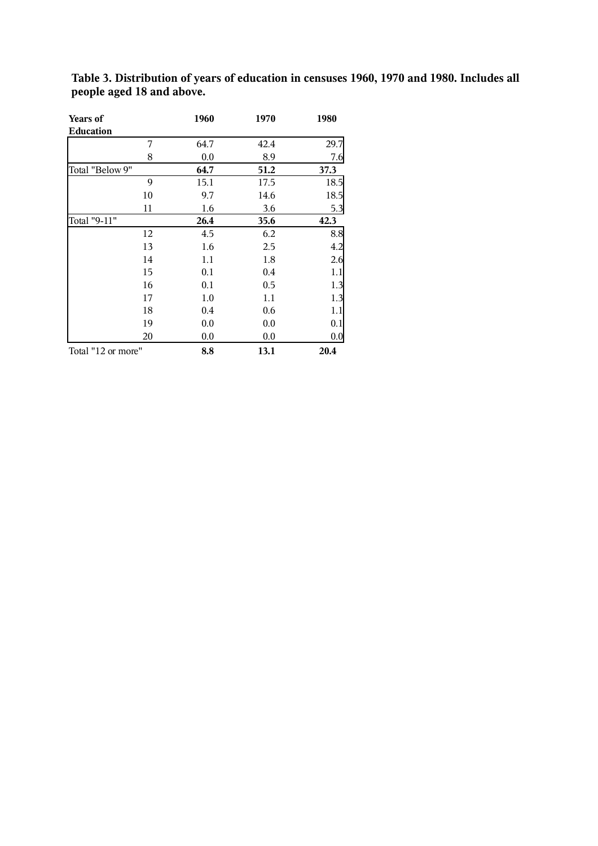| Years of           | 1960 | 1970    | 1980 |
|--------------------|------|---------|------|
| <b>Education</b>   |      |         |      |
| 7                  | 64.7 | 42.4    | 29.7 |
| 8                  | 0.0  | 8.9     | 7.6  |
| Total "Below 9"    | 64.7 | 51.2    | 37.3 |
| 9                  | 15.1 | 17.5    | 18.5 |
| 10                 | 9.7  | 14.6    | 18.5 |
| 11                 | 1.6  | 3.6     | 5.3  |
| Total "9-11"       | 26.4 | 35.6    | 42.3 |
| 12                 | 4.5  | 6.2     | 8.8  |
| 13                 | 1.6  | 2.5     | 4.2  |
| 14                 | 1.1  | 1.8     | 2.6  |
| 15                 | 0.1  | $0.4\,$ | 1.1  |
| 16                 | 0.1  | 0.5     | 1.3  |
| 17                 | 1.0  | 1.1     | 1.3  |
| 18                 | 0.4  | 0.6     | 1.1  |
| 19                 | 0.0  | 0.0     | 0.1  |
| 20                 | 0.0  | 0.0     | 0.0  |
| Total "12 or more" | 8.8  | 13.1    | 20.4 |

**Table 3. Distribution of years of education in censuses 1960, 1970 and 1980. Includes all people aged 18 and above.**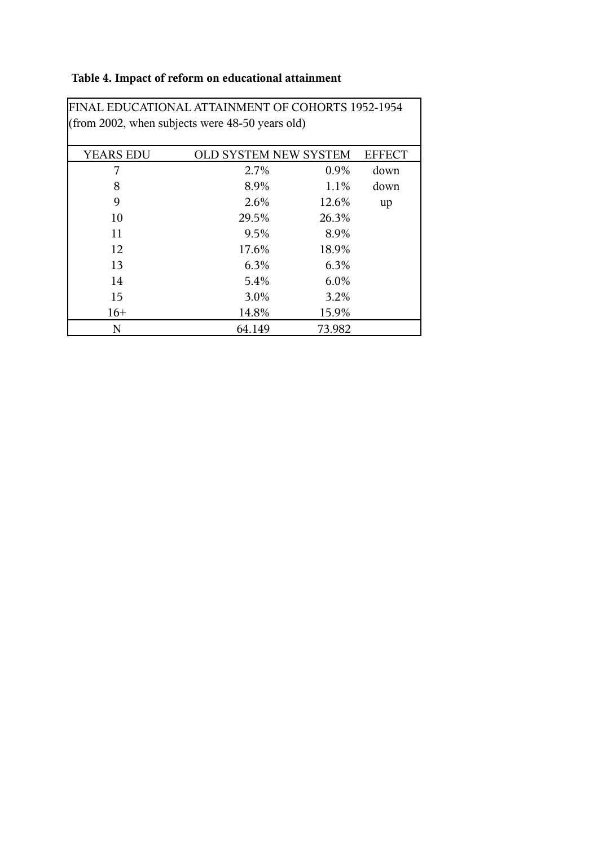# **Table 4. Impact of reform on educational attainment**

| FINAL EDUCATIONAL AI IAINMENT OF COHORTS 1952-1954 |                              |        |               |
|----------------------------------------------------|------------------------------|--------|---------------|
| (from 2002, when subjects were $48-50$ years old)  |                              |        |               |
|                                                    |                              |        |               |
|                                                    |                              |        |               |
| <b>YEARS EDU</b>                                   | <b>OLD SYSTEM NEW SYSTEM</b> |        | <b>EFFECT</b> |
| 7                                                  | 2.7%                         | 0.9%   | down          |
| 8                                                  | 8.9%                         | 1.1%   | down          |
| 9                                                  | 2.6%                         | 12.6%  | up            |
| 10                                                 | 29.5%                        | 26.3%  |               |
| 11                                                 | 9.5%                         | 8.9%   |               |
| 12                                                 | 17.6%                        | 18.9%  |               |
| 13                                                 | 6.3%                         | 6.3%   |               |
| 14                                                 | 5.4%                         | 6.0%   |               |
| 15                                                 | 3.0%                         | 3.2%   |               |
| $16+$                                              | 14.8%                        | 15.9%  |               |
| N                                                  | 64.149                       | 73.982 |               |

FINAL EDUCATIONAL ATTAINMENT OF COHORTS 1952-1954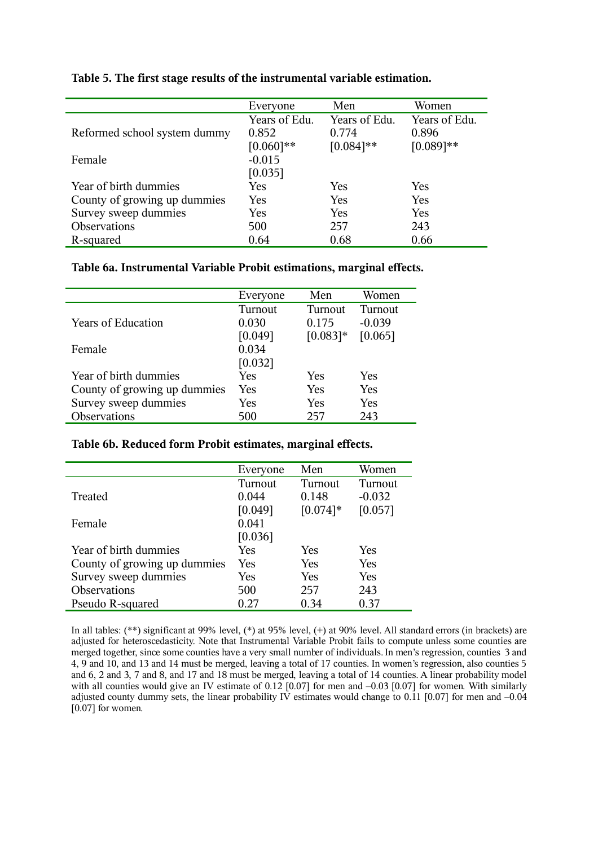|                              | Everyone      | Men           | Women         |
|------------------------------|---------------|---------------|---------------|
|                              | Years of Edu. | Years of Edu. | Years of Edu. |
| Reformed school system dummy | 0.852         | 0.774         | 0.896         |
|                              | $[0.060]**$   | $[0.084]$ **  | $[0.089]**$   |
| Female                       | $-0.015$      |               |               |
|                              | [0.035]       |               |               |
| Year of birth dummies        | Yes           | Yes           | <b>Yes</b>    |
| County of growing up dummies | Yes           | Yes           | <b>Yes</b>    |
| Survey sweep dummies         | Yes           | Yes           | <b>Yes</b>    |
| Observations                 | 500           | 257           | 243           |
| R-squared                    | 0.64          | 0.68          | 0.66          |

# **Table 5. The first stage results of the instrumental variable estimation.**

#### **Table 6a. Instrumental Variable Probit estimations, marginal effects.**

|                              | Everyone | Men        | Women      |
|------------------------------|----------|------------|------------|
|                              | Turnout  | Turnout    | Turnout    |
| <b>Years of Education</b>    | 0.030    | 0.175      | $-0.039$   |
|                              | [0.049]  | $[0.083]*$ | [0.065]    |
| Female                       | 0.034    |            |            |
|                              | [0.032]  |            |            |
| Year of birth dummies        | Yes      | <b>Yes</b> | <b>Yes</b> |
| County of growing up dummies | Yes      | Yes        | Yes        |
| Survey sweep dummies         | Yes      | <b>Yes</b> | Yes        |
| Observations                 | 500      | 257        | 243        |

#### **Table 6b. Reduced form Probit estimates, marginal effects.**

|                              | Everyone | Men         | Women    |
|------------------------------|----------|-------------|----------|
|                              | Turnout  | Turnout     | Turnout  |
| Treated                      | 0.044    | 0.148       | $-0.032$ |
|                              | [0.049]  | $[0.074]$ * | [0.057]  |
| Female                       | 0.041    |             |          |
|                              | [0.036]  |             |          |
| Year of birth dummies        | Yes      | Yes         | Yes      |
| County of growing up dummies | Yes      | Yes         | Yes      |
| Survey sweep dummies         | Yes      | Yes         | Yes      |
| <b>Observations</b>          | 500      | 257         | 243      |
| Pseudo R-squared             | 0.27     | 0.34        | 0.37     |

In all tables: (\*\*) significant at 99% level, (\*) at 95% level, (+) at 90% level. All standard errors (in brackets) are adjusted for heteroscedasticity. Note that Instrumental Variable Probit fails to compute unless some counties are merged together, since some counties have a very small number of individuals. In men's regression, counties 3 and 4, 9 and 10, and 13 and 14 must be merged, leaving a total of 17 counties. In women's regression, also counties 5 and 6, 2 and 3, 7 and 8, and 17 and 18 must be merged, leaving a total of 14 counties. A linear probability model with all counties would give an IV estimate of 0.12 [0.07] for men and -0.03 [0.07] for women. With similarly adjusted county dummy sets, the linear probability IV estimates would change to 0.11 [0.07] for men and  $-0.04$ [0.07] for women.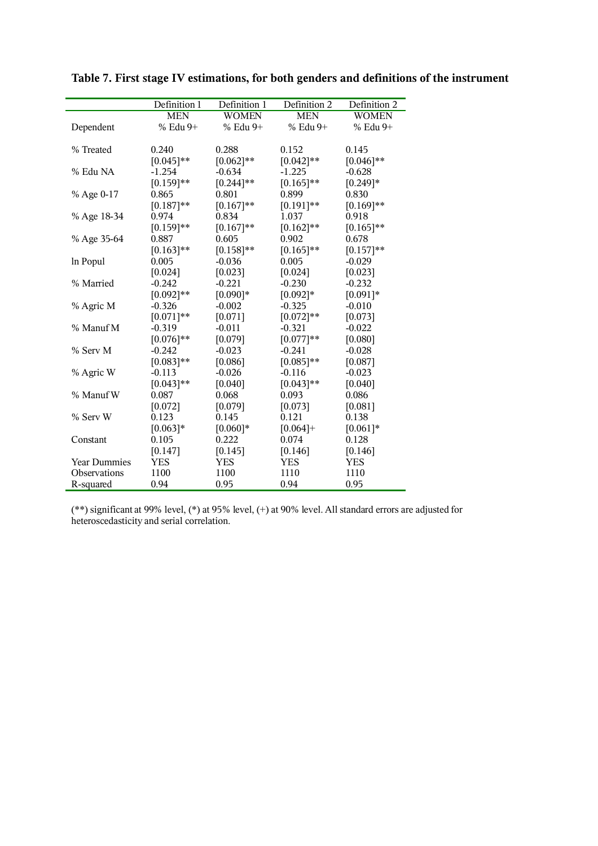|                     | Definition 1 | Definition 1 | Definition 2 | Definition 2 |
|---------------------|--------------|--------------|--------------|--------------|
|                     | <b>MEN</b>   | <b>WOMEN</b> | <b>MEN</b>   | <b>WOMEN</b> |
| Dependent           | % Edu 9+     | % Edu 9+     | % Edu 9+     | % Edu 9+     |
|                     |              |              |              |              |
| % Treated           | 0.240        | 0.288        | 0.152        | 0.145        |
|                     | $[0.045]$ ** | $[0.062]**$  | $[0.042]**$  | $[0.046]$ ** |
| % Edu NA            | $-1.254$     | $-0.634$     | $-1.225$     | $-0.628$     |
|                     | $[0.159]**$  | $[0.244]$ ** | $[0.165]$ ** | $[0.249]*$   |
| % Age 0-17          | 0.865        | 0.801        | 0.899        | 0.830        |
|                     | $[0.187]**$  | $[0.167]**$  | $[0.191]**$  | $[0.169]**$  |
| % Age 18-34         | 0.974        | 0.834        | 1.037        | 0.918        |
|                     | $[0.159]**$  | $[0.167]**$  | $[0.162]**$  | $[0.165]$ ** |
| % Age 35-64         | 0.887        | 0.605        | 0.902        | 0.678        |
|                     | $[0.163]**$  | $[0.158]**$  | $[0.165]$ ** | $[0.157]**$  |
| In Popul            | 0.005        | $-0.036$     | 0.005        | $-0.029$     |
|                     | [0.024]      | [0.023]      | [0.024]      | [0.023]      |
| % Married           | $-0.242$     | $-0.221$     | $-0.230$     | $-0.232$     |
|                     | $[0.092]**$  | $[0.090]*$   | $[0.092]*$   | $[0.091]*$   |
| % Agric M           | $-0.326$     | $-0.002$     | $-0.325$     | $-0.010$     |
|                     | $[0.071]**$  | [0.071]      | $[0.072]**$  | [0.073]      |
| % Manuf M           | $-0.319$     | $-0.011$     | $-0.321$     | $-0.022$     |
|                     | $[0.076]$ ** | [0.079]      | $[0.077]**$  | [0.080]      |
| % Serv M            | $-0.242$     | $-0.023$     | $-0.241$     | $-0.028$     |
|                     | $[0.083]**$  | [0.086]      | $[0.085]**$  | [0.087]      |
| % Agric W           | $-0.113$     | $-0.026$     | $-0.116$     | $-0.023$     |
|                     | $[0.043]**$  | [0.040]      | $[0.043]**$  | [0.040]      |
| % Manuf W           | 0.087        | 0.068        | 0.093        | 0.086        |
|                     | [0.072]      | [0.079]      | [0.073]      | [0.081]      |
| % Serv W            | 0.123        | 0.145        | 0.121        | 0.138        |
|                     | $[0.063]*$   | $[0.060]*$   | $[0.064] +$  | $[0.061]*$   |
| Constant            | 0.105        | 0.222        | 0.074        | 0.128        |
|                     | [0.147]      | [0.145]      | [0.146]      | [0.146]      |
| <b>Year Dummies</b> | YES          | YES          | <b>YES</b>   | YES          |
| <b>Observations</b> | 1100         | 1100         | 1110         | 1110         |
| R-squared           | 0.94         | 0.95         | 0.94         | 0.95         |

**Table 7. First stage IV estimations, for both genders and definitions of the instrument**

(\*\*) significant at 99% level, (\*) at 95% level, (+) at 90% level. All standard errors are adjusted for heteroscedasticity and serial correlation.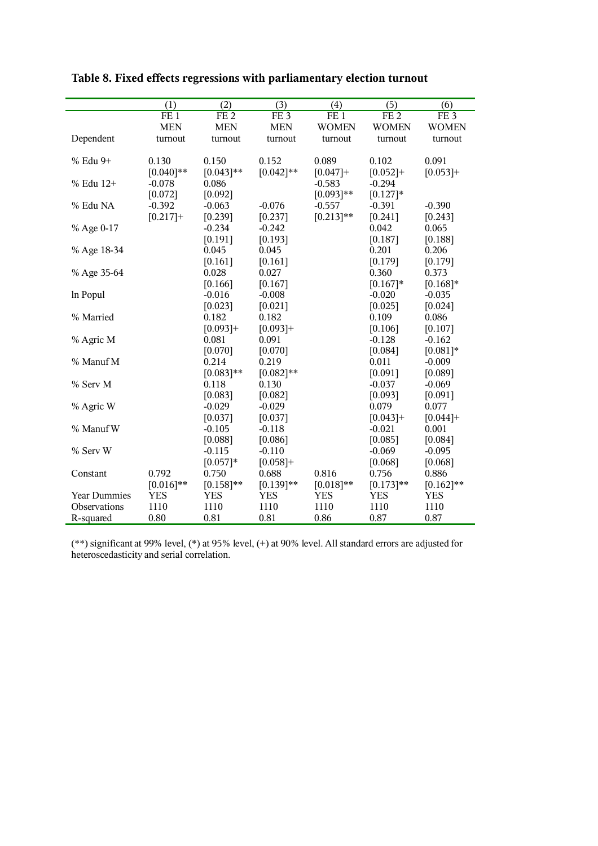|                     | (1)          | $\overline{(2)}$ | $\overline{(3)}$ | (4)          | $\overline{(5)}$ | (6)                 |
|---------------------|--------------|------------------|------------------|--------------|------------------|---------------------|
|                     | FE1          | FE2              | FE <sub>3</sub>  | FE1          | FE2              | FE <sub>3</sub>     |
|                     | <b>MEN</b>   | <b>MEN</b>       | <b>MEN</b>       | <b>WOMEN</b> | <b>WOMEN</b>     | <b>WOMEN</b>        |
| Dependent           | turnout      | turnout          | turnout          | turnout      | turnout          | turnout             |
|                     |              |                  |                  |              |                  |                     |
| % Edu 9+            | 0.130        | 0.150            | 0.152            | 0.089        | 0.102            | 0.091               |
|                     | $[0.040]$ ** | $[0.043]**$      | $[0.042]**$      | $[0.047]+$   | $[0.052]+$       | $[0.053]+$          |
| % Edu 12+           | $-0.078$     | 0.086            |                  | $-0.583$     | $-0.294$         |                     |
|                     | [0.072]      | [0.092]          |                  | $[0.093]**$  | $[0.127]*$       |                     |
| % Edu NA            | $-0.392$     | $-0.063$         | $-0.076$         | $-0.557$     | $-0.391$         | $-0.390$            |
|                     | $[0.217]+$   | [0.239]          | [0.237]          | $[0.213]**$  | [0.241]          | [0.243]             |
| % Age 0-17          |              | $-0.234$         | $-0.242$         |              | 0.042            | 0.065               |
|                     |              | [0.191]          | [0.193]          |              | [0.187]          | [0.188]             |
| % Age 18-34         |              | 0.045            | 0.045            |              | 0.201            | 0.206               |
|                     |              | [0.161]          | $[0.161]$        |              | [0.179]          | [0.179]             |
| % Age 35-64         |              | 0.028            | 0.027            |              | 0.360            | 0.373               |
|                     |              | [0.166]          | [0.167]          |              | $[0.167]*$       | $[0.168]*$          |
| In Popul            |              | $-0.016$         | $-0.008$         |              | $-0.020$         | $-0.035$            |
|                     |              | [0.023]          | [0.021]          |              | [0.025]          | [0.024]             |
| % Married           |              | 0.182            | 0.182            |              | 0.109            | 0.086               |
|                     |              | $[0.093]+$       | $[0.093]+$       |              | [0.106]          | [0.107]             |
| % Agric M           |              | 0.081            | 0.091            |              | $-0.128$         | $-0.162$            |
| % Manuf M           |              | [0.070]<br>0.214 | [0.070]<br>0.219 |              | [0.084]<br>0.011 | $[0.081]*$          |
|                     |              | $[0.083]**$      | $[0.082]**$      |              | [0.091]          | $-0.009$<br>[0.089] |
| % Serv M            |              | 0.118            | 0.130            |              | $-0.037$         | $-0.069$            |
|                     |              | [0.083]          | [0.082]          |              | [0.093]          | [0.091]             |
| % Agric W           |              | $-0.029$         | $-0.029$         |              | 0.079            | 0.077               |
|                     |              | [0.037]          | [0.037]          |              | $[0.043]+$       | $[0.044]$ +         |
| % Manuf W           |              | $-0.105$         | $-0.118$         |              | $-0.021$         | 0.001               |
|                     |              | [0.088]          | [0.086]          |              | [0.085]          | [0.084]             |
| % Serv W            |              | $-0.115$         | $-0.110$         |              | $-0.069$         | $-0.095$            |
|                     |              | $[0.057]*$       | $[0.058]+$       |              | [0.068]          | [0.068]             |
| Constant            | 0.792        | 0.750            | 0.688            | 0.816        | 0.756            | 0.886               |
|                     | $[0.016]$ ** | $[0.158]**$      | $[0.139]**$      | $[0.018]**$  | $[0.173]**$      | $[0.162]**$         |
| <b>Year Dummies</b> | <b>YES</b>   | <b>YES</b>       | <b>YES</b>       | <b>YES</b>   | <b>YES</b>       | <b>YES</b>          |
| Observations        | 1110         | 1110             | 1110             | 1110         | 1110             | 1110                |
| R-squared           | 0.80         | 0.81             | 0.81             | 0.86         | 0.87             | 0.87                |

# **Table 8. Fixed effects regressions with parliamentary election turnout**

(\*\*) significant at 99% level, (\*) at 95% level, (+) at 90% level. All standard errors are adjusted for heteroscedasticity and serial correlation.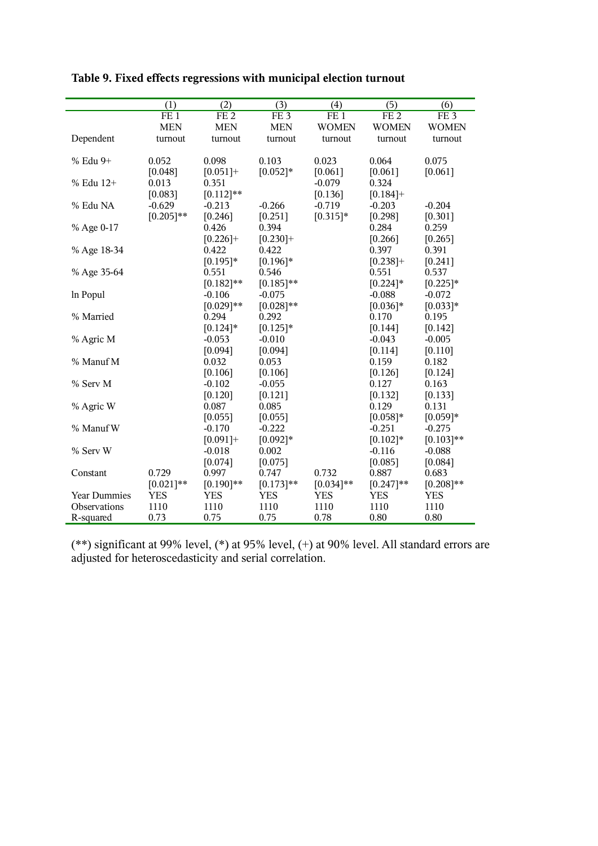|                     | (1)             | (2)             | (3)              | (4)             | (5)          | (6)             |
|---------------------|-----------------|-----------------|------------------|-----------------|--------------|-----------------|
|                     | FE <sub>1</sub> | FE <sub>2</sub> | $FE\overline{3}$ | FE <sub>1</sub> | FE2          | FE <sub>3</sub> |
|                     | <b>MEN</b>      | <b>MEN</b>      | <b>MEN</b>       | <b>WOMEN</b>    | <b>WOMEN</b> | <b>WOMEN</b>    |
| Dependent           | turnout         | turnout         | turnout          | turnout         | turnout      | turnout         |
| % Edu 9+            | 0.052           | 0.098           | 0.103            | 0.023           | 0.064        | 0.075           |
|                     | [0.048]         | $[0.051] +$     | $[0.052]*$       | [0.061]         | [0.061]      | [0.061]         |
| % Edu 12+           | 0.013           | 0.351           |                  | $-0.079$        | 0.324        |                 |
|                     | [0.083]         | $[0.112]$ **    |                  | [0.136]         | $[0.184] +$  |                 |
| % Edu NA            | $-0.629$        | $-0.213$        | $-0.266$         | $-0.719$        | $-0.203$     | $-0.204$        |
|                     | $[0.205]**$     | [0.246]         | [0.251]          | $[0.315]*$      | [0.298]      | [0.301]         |
| % Age 0-17          |                 | 0.426           | 0.394            |                 | 0.284        | 0.259           |
|                     |                 | $[0.226]+$      | $[0.230] +$      |                 | [0.266]      | [0.265]         |
| % Age 18-34         |                 | 0.422           | 0.422            |                 | 0.397        | 0.391           |
|                     |                 | $[0.195]*$      | $[0.196]*$       |                 | $[0.238] +$  | [0.241]         |
| % Age 35-64         |                 | 0.551           | 0.546            |                 | 0.551        | 0.537           |
|                     |                 | $[0.182]$ **    | $[0.185]$ **     |                 | $[0.224]$ *  | $[0.225]$ *     |
| In Popul            |                 | $-0.106$        | $-0.075$         |                 | $-0.088$     | $-0.072$        |
|                     |                 | $[0.029]**$     | $[0.028]**$      |                 | $[0.036]*$   | $[0.033]*$      |
| % Married           |                 | 0.294           | 0.292            |                 | 0.170        | 0.195           |
|                     |                 | $[0.124]$ *     | $[0.125]*$       |                 | [0.144]      | [0.142]         |
| % Agric M           |                 | $-0.053$        | $-0.010$         |                 | $-0.043$     | $-0.005$        |
|                     |                 | [0.094]         | [0.094]          |                 | [0.114]      | [0.110]         |
| % Manuf M           |                 | 0.032           | 0.053            |                 | 0.159        | 0.182           |
|                     |                 | [0.106]         | [0.106]          |                 | [0.126]      | [0.124]         |
| % Serv M            |                 | $-0.102$        | $-0.055$         |                 | 0.127        | 0.163           |
|                     |                 | [0.120]         | [0.121]          |                 | [0.132]      | [0.133]         |
| % Agric W           |                 | 0.087           | 0.085            |                 | 0.129        | 0.131           |
|                     |                 | [0.055]         | [0.055]          |                 | $[0.058]*$   | $[0.059]*$      |
| % Manuf W           |                 | $-0.170$        | $-0.222$         |                 | $-0.251$     | $-0.275$        |
|                     |                 | $[0.091]+$      | $[0.092]*$       |                 | $[0.102]*$   | $[0.103]**$     |
| % Serv W            |                 | $-0.018$        | 0.002            |                 | $-0.116$     | $-0.088$        |
|                     |                 | [0.074]         | [0.075]          |                 | [0.085]      | [0.084]         |
| Constant            | 0.729           | 0.997           | 0.747            | 0.732           | 0.887        | 0.683           |
|                     | $[0.021]**$     | $[0.190]$ **    | $[0.173]**$      | $[0.034]**$     | $[0.247]**$  | $[0.208]**$     |
| <b>Year Dummies</b> | <b>YES</b>      | <b>YES</b>      | <b>YES</b>       | <b>YES</b>      | <b>YES</b>   | <b>YES</b>      |
| Observations        | 1110            | 1110            | 1110             | 1110            | 1110         | 1110            |
| R-squared           | 0.73            | 0.75            | 0.75             | 0.78            | 0.80         | 0.80            |

# **Table 9. Fixed effects regressions with municipal election turnout**

(\*\*) significant at 99% level, (\*) at 95% level, (+) at 90% level. All standard errors are adjusted for heteroscedasticity and serial correlation.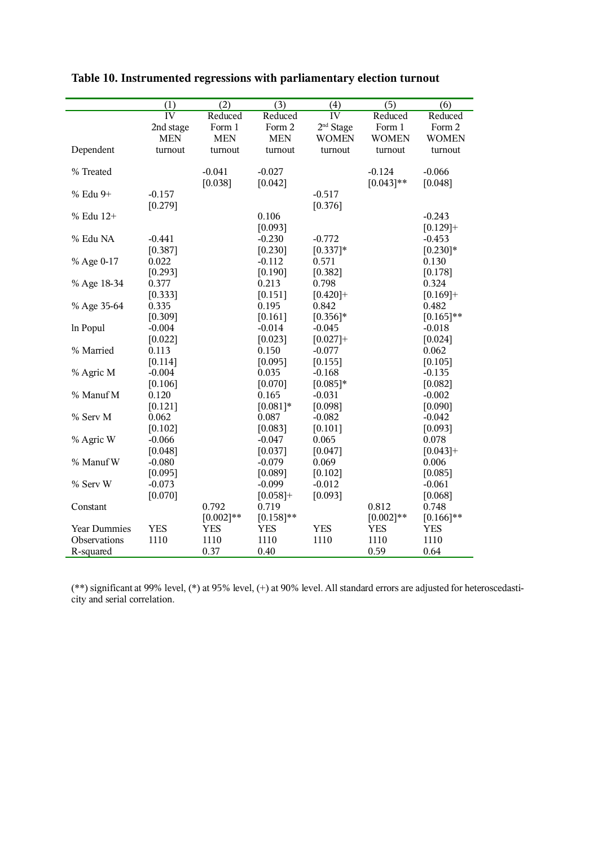|                     | (1)                 | $\overline{(2)}$ | $\overline{(3)}$ | (4)                 | $\overline{(5)}$ | $\overline{(6)}$    |
|---------------------|---------------------|------------------|------------------|---------------------|------------------|---------------------|
|                     | IV                  | Reduced          | Reduced          | IV                  | Reduced          | Reduced             |
|                     | 2nd stage           | Form 1           | Form 2           | $2nd$ Stage         | Form 1           | Form 2              |
|                     | <b>MEN</b>          | <b>MEN</b>       | <b>MEN</b>       | <b>WOMEN</b>        | <b>WOMEN</b>     | <b>WOMEN</b>        |
| Dependent           | turnout             | turnout          | turnout          | turnout             | turnout          | turnout             |
|                     |                     |                  |                  |                     |                  |                     |
| % Treated           |                     | $-0.041$         | $-0.027$         |                     | $-0.124$         | $-0.066$            |
|                     |                     | [0.038]          | [0.042]          |                     | $[0.043]**$      | [0.048]             |
| % Edu 9+            | $-0.157$            |                  |                  | $-0.517$            |                  |                     |
|                     | [0.279]             |                  |                  | [0.376]             |                  |                     |
| % Edu 12+           |                     |                  | 0.106            |                     |                  | $-0.243$            |
|                     |                     |                  | [0.093]          |                     |                  | $[0.129]+$          |
| % Edu NA            | $-0.441$            |                  | $-0.230$         | $-0.772$            |                  | $-0.453$            |
|                     | [0.387]             |                  | [0.230]          | $[0.337]*$          |                  | $[0.230]*$          |
| % Age 0-17          | 0.022               |                  | $-0.112$         | 0.571               |                  | 0.130               |
|                     | [0.293]             |                  | [0.190]          | [0.382]             |                  | [0.178]             |
| % Age 18-34         | 0.377               |                  | 0.213            | 0.798               |                  | 0.324               |
|                     | [0.333]             |                  | [0.151]          | $[0.420]+$          |                  | $[0.169]+$          |
| % Age 35-64         | 0.335               |                  | 0.195            | 0.842               |                  | 0.482               |
|                     | [0.309]             |                  | [0.161]          | $[0.356]$ *         |                  | $[0.165]$ **        |
| In Popul            | $-0.004$            |                  | $-0.014$         | $-0.045$            |                  | $-0.018$            |
| % Married           | [0.022]             |                  | [0.023]<br>0.150 | $[0.027]+$          |                  | [0.024]             |
|                     | 0.113               |                  |                  | $-0.077$            |                  | 0.062               |
| % Agric M           | [0.114]<br>$-0.004$ |                  | [0.095]<br>0.035 | [0.155]<br>$-0.168$ |                  | [0.105]<br>$-0.135$ |
|                     | [0.106]             |                  | [0.070]          | $[0.085]*$          |                  | [0.082]             |
| % Manuf M           | 0.120               |                  | 0.165            | $-0.031$            |                  | $-0.002$            |
|                     | [0.121]             |                  | $[0.081]*$       | [0.098]             |                  | [0.090]             |
| % Serv M            | 0.062               |                  | 0.087            | $-0.082$            |                  | $-0.042$            |
|                     | [0.102]             |                  | [0.083]          | [0.101]             |                  | [0.093]             |
| % Agric W           | $-0.066$            |                  | $-0.047$         | 0.065               |                  | 0.078               |
|                     | [0.048]             |                  | [0.037]          | [0.047]             |                  | $[0.043]+$          |
| % Manuf W           | $-0.080$            |                  | $-0.079$         | 0.069               |                  | 0.006               |
|                     | [0.095]             |                  | [0.089]          | [0.102]             |                  | [0.085]             |
| % Serv W            | $-0.073$            |                  | $-0.099$         | $-0.012$            |                  | $-0.061$            |
|                     | [0.070]             |                  | $[0.058]+$       | [0.093]             |                  | [0.068]             |
| Constant            |                     | 0.792            | 0.719            |                     | 0.812            | 0.748               |
|                     |                     | $[0.002]**$      | $[0.158]**$      |                     | $[0.002]**$      | $[0.166]$ **        |
| <b>Year Dummies</b> | <b>YES</b>          | <b>YES</b>       | <b>YES</b>       | <b>YES</b>          | YES              | <b>YES</b>          |
| Observations        | 1110                | 1110             | 1110             | 1110                | 1110             | 1110                |
| R-squared           |                     | 0.37             | 0.40             |                     | 0.59             | 0.64                |

# **Table 10. Instrumented regressions with parliamentary election turnout**

(\*\*) significant at 99% level, (\*) at 95% level, (+) at 90% level. All standard errors are adjusted for heteroscedasticity and serial correlation.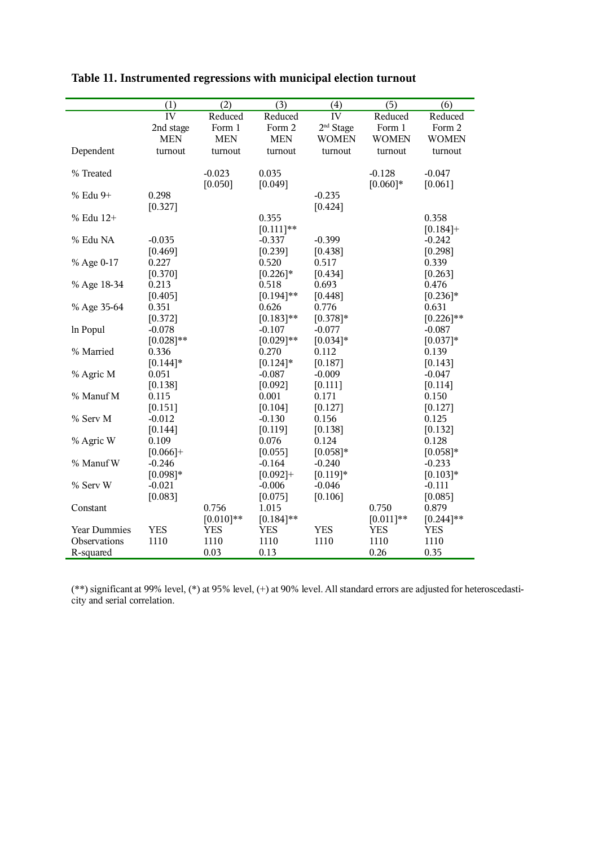|                     | (1)                 | $\overline{(2)}$ | $\overline{(3)}$ | (4)                   | $\overline{(5)}$ | $\overline{(6)}$ |
|---------------------|---------------------|------------------|------------------|-----------------------|------------------|------------------|
|                     | $\overline{\rm IV}$ | Reduced          | Reduced          | IV                    | Reduced          | Reduced          |
|                     | 2nd stage           | Form 1           | Form 2           | 2 <sup>nd</sup> Stage | Form 1           | Form 2           |
|                     | <b>MEN</b>          | <b>MEN</b>       | <b>MEN</b>       | <b>WOMEN</b>          | <b>WOMEN</b>     | <b>WOMEN</b>     |
| Dependent           | turnout             | turnout          | turnout          | turnout               | turnout          | turnout          |
|                     |                     |                  |                  |                       |                  |                  |
| % Treated           |                     | $-0.023$         | 0.035            |                       | $-0.128$         | $-0.047$         |
|                     |                     | [0.050]          | [0.049]          |                       | $[0.060]*$       | [0.061]          |
| % Edu 9+            | 0.298               |                  |                  | $-0.235$              |                  |                  |
|                     | [0.327]             |                  |                  | [0.424]               |                  |                  |
| % Edu 12+           |                     |                  | 0.355            |                       |                  | 0.358            |
|                     |                     |                  | $[0.111]$ **     |                       |                  | $[0.184] +$      |
| % Edu NA            | $-0.035$            |                  | $-0.337$         | $-0.399$              |                  | $-0.242$         |
|                     | [0.469]             |                  | [0.239]          | [0.438]               |                  | [0.298]          |
| % Age 0-17          | 0.227               |                  | 0.520            | 0.517                 |                  | 0.339            |
|                     | [0.370]             |                  | $[0.226]$ *      | [0.434]               |                  | [0.263]          |
| % Age 18-34         | 0.213               |                  | 0.518            | 0.693                 |                  | 0.476            |
|                     | [0.405]             |                  | $[0.194]$ **     | [0.448]               |                  | $[0.236]$ *      |
| % Age 35-64         | 0.351               |                  | 0.626            | 0.776                 |                  | 0.631            |
|                     | [0.372]             |                  | $[0.183]**$      | $[0.378]$ *           |                  | $[0.226]$ **     |
| In Popul            | $-0.078$            |                  | $-0.107$         | $-0.077$              |                  | $-0.087$         |
|                     | $[0.028]**$         |                  | $[0.029]**$      | $[0.034]*$            |                  | $[0.037]*$       |
| % Married           | 0.336               |                  | 0.270            | 0.112                 |                  | 0.139            |
|                     | $[0.144]$ *         |                  | $[0.124]$ *      | [0.187]               |                  | [0.143]          |
| % Agric M           | 0.051               |                  | $-0.087$         | $-0.009$              |                  | $-0.047$         |
|                     | [0.138]             |                  | [0.092]          | [0.111]               |                  | [0.114]          |
| % Manuf M           | 0.115               |                  | 0.001            | 0.171                 |                  | 0.150            |
|                     | [0.151]             |                  | [0.104]          | [0.127]               |                  | [0.127]          |
| % Serv M            | $-0.012$            |                  | $-0.130$         | 0.156                 |                  | 0.125            |
|                     | [0.144]             |                  | [0.119]          | [0.138]               |                  | [0.132]          |
| % Agric W           | 0.109               |                  | 0.076            | 0.124                 |                  | 0.128            |
|                     | $[0.066]+$          |                  | [0.055]          | $[0.058]*$            |                  | $[0.058]*$       |
| % Manuf W           | $-0.246$            |                  | $-0.164$         | $-0.240$              |                  | $-0.233$         |
|                     | $[0.098]*$          |                  | $[0.092]+$       | $[0.119]*$            |                  | $[0.103]*$       |
| % Serv W            | $-0.021$            |                  | $-0.006$         | $-0.046$              |                  | $-0.111$         |
|                     | [0.083]             |                  | [0.075]          | [0.106]               |                  | [0.085]          |
| Constant            |                     | 0.756            | 1.015            |                       | 0.750            | 0.879            |
|                     |                     | $[0.010]**$      | $[0.184]$ **     |                       | $[0.011]**$      | $[0.244]$ **     |
| <b>Year Dummies</b> | <b>YES</b>          | <b>YES</b>       | YES              | <b>YES</b>            | <b>YES</b>       | <b>YES</b>       |
| Observations        | 1110                | 1110             | 1110             | 1110                  | 1110             | 1110             |
| R-squared           |                     | 0.03             | 0.13             |                       | 0.26             | 0.35             |

| Table 11. Instrumented regressions with municipal election turnout |  |  |  |
|--------------------------------------------------------------------|--|--|--|
|                                                                    |  |  |  |

(\*\*) significant at 99% level, (\*) at 95% level, (+) at 90% level. All standard errors are adjusted for heteroscedasticity and serial correlation.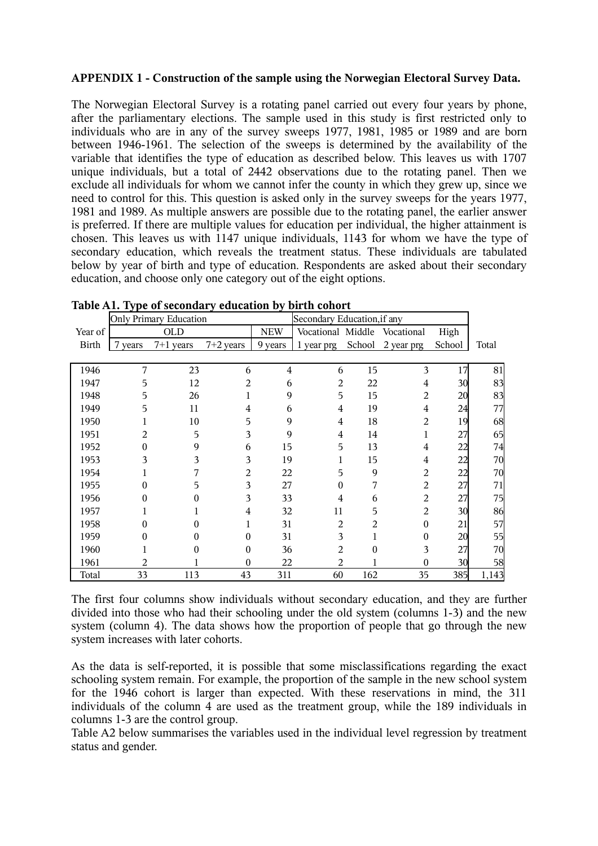# **APPENDIX 1 - Construction of the sample using the Norwegian Electoral Survey Data.**

The Norwegian Electoral Survey is a rotating panel carried out every four years by phone, after the parliamentary elections. The sample used in this study is first restricted only to individuals who are in any of the survey sweeps 1977, 1981, 1985 or 1989 and are born between 1946-1961. The selection of the sweeps is determined by the availability of the variable that identifies the type of education as described below. This leaves us with 1707 unique individuals, but a total of 2442 observations due to the rotating panel. Then we exclude all individuals for whom we cannot infer the county in which they grew up, since we need to control for this. This question is asked only in the survey sweeps for the years 1977, 1981 and 1989. As multiple answers are possible due to the rotating panel, the earlier answer is preferred. If there are multiple values for education per individual, the higher attainment is chosen. This leaves us with 1147 unique individuals, 1143 for whom we have the type of secondary education, which reveals the treatment status. These individuals are tabulated below by year of birth and type of education. Respondents are asked about their secondary education, and choose only one category out of the eight options.

|              | <b>Only Primary Education</b><br>Secondary Education, if any |             |                |                |                   |          |                |                 |       |
|--------------|--------------------------------------------------------------|-------------|----------------|----------------|-------------------|----------|----------------|-----------------|-------|
| Year of      |                                                              | <b>OLD</b>  |                | <b>NEW</b>     | Vocational Middle |          | Vocational     | High            |       |
| <b>Birth</b> | 7 years                                                      | $7+1$ years | $7+2$ years    | 9 years        | 1 year prg        | School   | 2 year prg     | School          | Total |
|              |                                                              |             |                |                |                   |          |                |                 |       |
| 1946         | 7                                                            | 23          | 6              | $\overline{4}$ | 6                 | 15       | 3              | 17              | 81    |
| 1947         | 5                                                            | 12          | 2              | 6              | 2                 | 22       | 4              | 30              | 83    |
| 1948         | 5                                                            | 26          | 1              | 9              | 5                 | 15       | $\overline{2}$ | 20              | 83    |
| 1949         | 5                                                            | 11          | 4              | 6              | $\overline{4}$    | 19       | 4              | 24              | 77    |
| 1950         |                                                              | 10          | 5              | 9              | $\overline{4}$    | 18       | 2              | 19              | 68    |
| 1951         | 2                                                            | 5           | 3              | 9              | $\overline{4}$    | 14       | 1              | 27              | 65    |
| 1952         | 0                                                            | 9           | 6              | 15             | 5                 | 13       | 4              | 22              | 74    |
| 1953         | 3                                                            | 3           | 3              | 19             | 1                 | 15       | 4              | 22              | 70    |
| 1954         |                                                              | 7           | 2              | 22             | 5                 | 9        | 2              | 22              | 70    |
| 1955         | $\Omega$                                                     | 5           | 3              | 27             | $\boldsymbol{0}$  | 7        | 2              | 27              | 71    |
| 1956         | 0                                                            | 0           | 3              | 33             | 4                 | 6        | 2              | 27              | 75    |
| 1957         |                                                              |             | $\overline{4}$ | 32             | 11                | 5        | $\overline{2}$ | 30 <sup>l</sup> | 86    |
| 1958         | $\Omega$                                                     | 0           | 1              | 31             | 2                 | 2        | $\theta$       | 21              | 57    |
| 1959         | 0                                                            | 0           | $\theta$       | 31             | 3                 | 1        | $\theta$       | 20              | 55    |
| 1960         |                                                              | 0           | $\theta$       | 36             | 2                 | $\theta$ | 3              | 27              | 70    |
| 1961         | 2                                                            |             | $\theta$       | 22             | 2                 |          | $\Omega$       | 30 <sup>l</sup> | 58    |
| Total        | 33                                                           | 113         | 43             | 311            | 60                | 162      | 35             | 385             | 1,143 |

**Table A1. Type of secondary education by birth cohort**

The first four columns show individuals without secondary education, and they are further divided into those who had their schooling under the old system (columns 1-3) and the new system (column 4). The data shows how the proportion of people that go through the new system increases with later cohorts.

As the data is self-reported, it is possible that some misclassifications regarding the exact schooling system remain. For example, the proportion of the sample in the new school system for the 1946 cohort is larger than expected. With these reservations in mind, the 311 individuals of the column 4 are used as the treatment group, while the 189 individuals in columns 1-3 are the control group.

Table A2 below summarises the variables used in the individual level regression by treatment status and gender.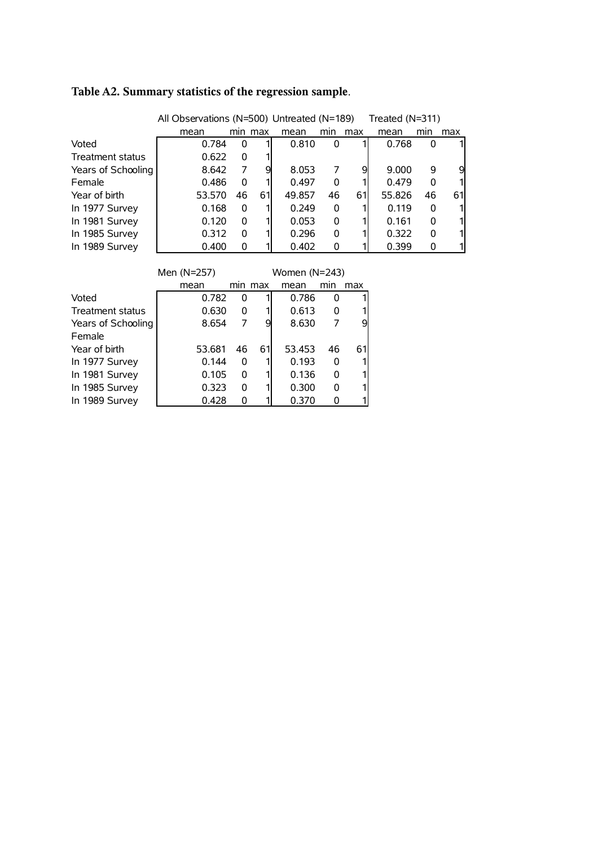|                    | All Observations (N=500) Untreated (N=189) |          |         |               |     |     | Treated (N=311) |     |     |
|--------------------|--------------------------------------------|----------|---------|---------------|-----|-----|-----------------|-----|-----|
|                    | mean                                       |          | min max | mean          | min | max | mean            | min | max |
| Voted              | 0.784                                      | 0        |         | 0.810         | 0   |     | 0.768           | 0   | 1   |
| Treatment status   | 0.622                                      | 0        |         |               |     |     |                 |     |     |
| Years of Schooling | 8.642                                      | 7        | 9       | 8.053         | 7   | 9   | 9.000           | 9   | 9   |
| Female             | 0.486                                      | 0        |         | 0.497         | 0   |     | 0.479           | 0   | 1   |
| Year of birth      | 53.570                                     | 46       | 61      | 49.857        | 46  | 61  | 55.826          | 46  | 61  |
| In 1977 Survey     | 0.168                                      | 0        |         | 0.249         | 0   |     | 0.119           | 0   | 1   |
| In 1981 Survey     | 0.120                                      | 0        |         | 0.053         | 0   |     | 0.161           | 0   | 1   |
| In 1985 Survey     | 0.312                                      | 0        |         | 0.296         | 0   |     | 0.322           | 0   | 1   |
| In 1989 Survey     | 0.400                                      | 0        |         | 0.402         | 0   |     | 0.399           | 0   | 1   |
|                    |                                            |          |         |               |     |     |                 |     |     |
|                    | Men (N=257)                                |          |         | Women (N=243) |     |     |                 |     |     |
|                    | mean                                       |          | min max | mean          | min | max |                 |     |     |
| Voted              | 0.782                                      | $\Omega$ |         | 0.786         | 0   |     |                 |     |     |
| Treatment status   | 0.630                                      | 0        |         | 0.613         | 0   |     |                 |     |     |
| Years of Schooling | 8.654                                      | 7        | 9       | 8.630         | 7   | 9   |                 |     |     |
| Female             |                                            |          |         |               |     |     |                 |     |     |
| Year of birth      | 53.681                                     | 46       | 61      | 53.453        | 46  | 61  |                 |     |     |
| In 1977 Survey     | 0.144                                      | 0        |         | 0.193         | 0   |     |                 |     |     |
| In 1981 Survey     | 0.105                                      | 0        |         | 0.136         | 0   |     |                 |     |     |
| In 1985 Survey     | 0.323                                      | 0        |         | 0.300         | 0   |     |                 |     |     |
| In 1989 Survey     | 0.428                                      | 0        |         | 0.370         | 0   |     |                 |     |     |

# **Table A2. Summary statistics of the regression sample**.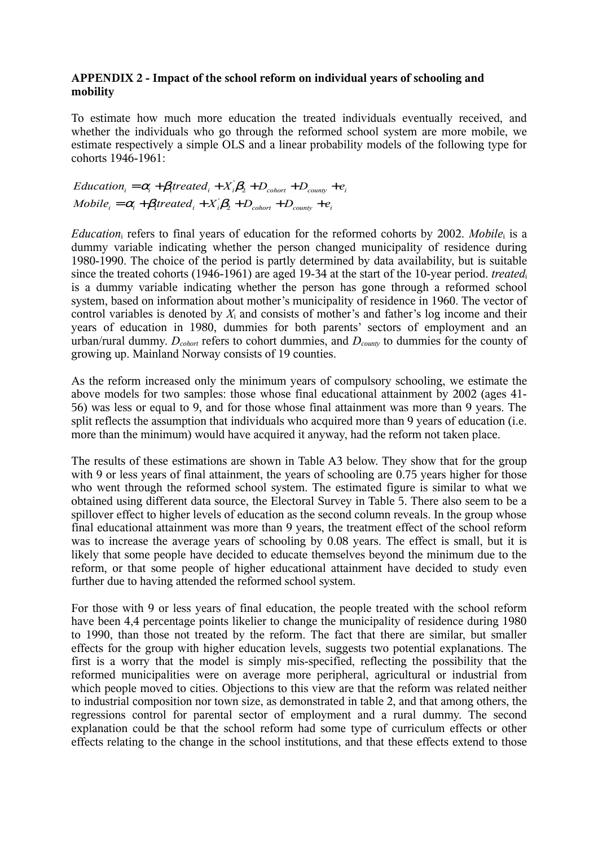# **APPENDIX 2 - Impact of the school reform on individual years of schooling and mobility**

To estimate how much more education the treated individuals eventually received, and whether the individuals who go through the reformed school system are more mobile, we estimate respectively a simple OLS and a linear probability models of the following type for cohorts 1946-1961:

$$
Education_i = \alpha_i + \beta_i treated_i + X_i\beta_2 + D_{\text{chort}} + D_{\text{county}} + e_i
$$
\n
$$
Mobile_i = \alpha_i + \beta_i treated_i + X_i\beta_2 + D_{\text{chort}} + D_{\text{county}} + e_i
$$

*Education*<sub>i</sub> refers to final years of education for the reformed cohorts by 2002. *Mobile*<sub>i</sub> is a dummy variable indicating whether the person changed municipality of residence during 1980-1990. The choice of the period is partly determined by data availability, but is suitable since the treated cohorts (1946-1961) are aged 19-34 at the start of the 10-year period. *treated*<sup>i</sup> is a dummy variable indicating whether the person has gone through a reformed school system, based on information about mother's municipality of residence in 1960. The vector of control variables is denoted by *X*<sup>i</sup> and consists of mother's and father's log income and their years of education in 1980, dummies for both parents' sectors of employment and an urban/rural dummy. *Dcohort* refers to cohort dummies, and *Dcounty* to dummies for the county of growing up. Mainland Norway consists of 19 counties.

As the reform increased only the minimum years of compulsory schooling, we estimate the above models for two samples: those whose final educational attainment by 2002 (ages 41- 56) was less or equal to 9, and for those whose final attainment was more than 9 years. The split reflects the assumption that individuals who acquired more than 9 years of education (i.e. more than the minimum) would have acquired it anyway, had the reform not taken place.

The results of these estimations are shown in Table A3 below. They show that for the group with 9 or less years of final attainment, the years of schooling are 0.75 years higher for those who went through the reformed school system. The estimated figure is similar to what we obtained using different data source, the Electoral Survey in Table 5. There also seem to be a spillover effect to higher levels of education as the second column reveals. In the group whose final educational attainment was more than 9 years, the treatment effect of the school reform was to increase the average years of schooling by 0.08 years. The effect is small, but it is likely that some people have decided to educate themselves beyond the minimum due to the reform, or that some people of higher educational attainment have decided to study even further due to having attended the reformed school system.

For those with 9 or less years of final education, the people treated with the school reform have been 4,4 percentage points likelier to change the municipality of residence during 1980 to 1990, than those not treated by the reform. The fact that there are similar, but smaller effects for the group with higher education levels, suggests two potential explanations. The first is a worry that the model is simply mis-specified, reflecting the possibility that the reformed municipalities were on average more peripheral, agricultural or industrial from which people moved to cities. Objections to this view are that the reform was related neither to industrial composition nor town size, as demonstrated in table 2, and that among others, the regressions control for parental sector of employment and a rural dummy. The second explanation could be that the school reform had some type of curriculum effects or other effects relating to the change in the school institutions, and that these effects extend to those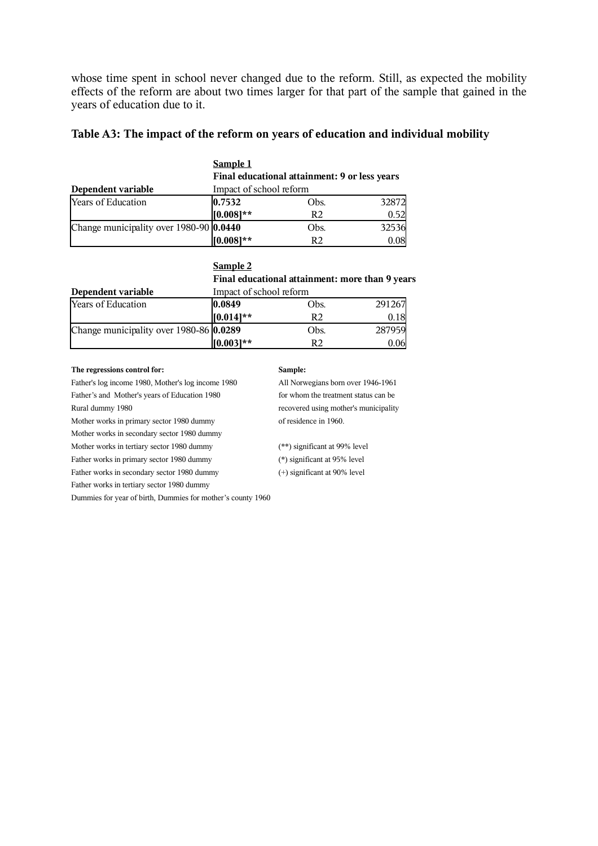whose time spent in school never changed due to the reform. Still, as expected the mobility effects of the reform are about two times larger for that part of the sample that gained in the years of education due to it.

### **Table A3: The impact of the reform on years of education and individual mobility**

|                                         | <b>Sample 1</b>                               |                |       |  |  |
|-----------------------------------------|-----------------------------------------------|----------------|-------|--|--|
|                                         | Final educational attainment: 9 or less years |                |       |  |  |
| Dependent variable                      | Impact of school reform                       |                |       |  |  |
| Years of Education                      | 0.7532                                        | Obs.           | 32872 |  |  |
|                                         | $[0.008]**$                                   | R <sub>2</sub> | 0.52  |  |  |
| Change municipality over 1980-90 0.0440 |                                               | Obs.           | 32536 |  |  |
|                                         | $[0.008]**$                                   | R2             | 0.08  |  |  |

#### **Sample 2**

**Final educational attainment: more than 9 years Dependent variable Impact of school reform** 

| Dependent valiable                      | IMPACI OI SCHOOL ICIONIII |      |        |  |  |
|-----------------------------------------|---------------------------|------|--------|--|--|
| <b>Years of Education</b>               | $ 0.0849\rangle$          | Obs. | 291267 |  |  |
|                                         | $[0.014]$ **              | R2   | 0.18   |  |  |
| Change municipality over 1980-86 0.0289 |                           | Obs. | 287959 |  |  |
|                                         | $[0.003]**$               | R2   | 0.061  |  |  |

#### **The regressions control for: Sample:**

Father's log income 1980, Mother's log income 1980 All Norwegians born over 1946-1961 Father's and Mother's years of Education 1980 for whom the treatment status can be Rural dummy 1980 recovered using mother's municipality Mother works in primary sector 1980 dummy of residence in 1960. Mother works in secondary sector 1980 dummy Mother works in tertiary sector 1980 dummy (\*\*) significant at 99% level Father works in primary sector 1980 dummy (\*) significant at 95% level Father works in secondary sector 1980 dummy (+) significant at 90% level Father works in tertiary sector 1980 dummy Dummies for year of birth, Dummies for mother's county 1960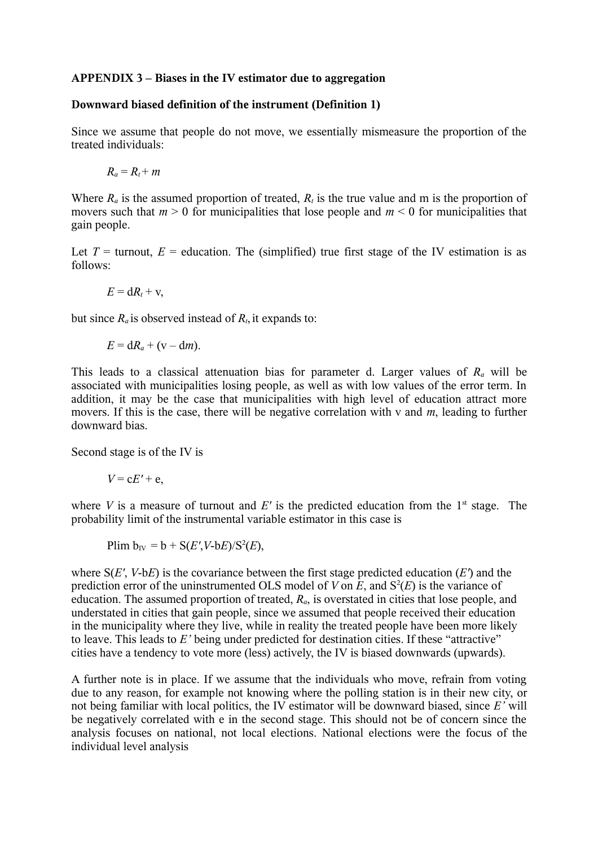# **APPENDIX 3 – Biases in the IV estimator due to aggregation**

# **Downward biased definition of the instrument (Definition 1)**

Since we assume that people do not move, we essentially mismeasure the proportion of the treated individuals:

 $R_a = R_t + m$ 

Where  $R_a$  is the assumed proportion of treated,  $R_t$  is the true value and m is the proportion of movers such that  $m > 0$  for municipalities that lose people and  $m < 0$  for municipalities that gain people.

Let  $T =$  turnout,  $E =$  education. The (simplified) true first stage of the IV estimation is as follows:

$$
E=\mathrm{d}R_t+v,
$$

but since  $R_a$  is observed instead of  $R_t$ , it expands to:

$$
E = dR_a + (v - dm).
$$

This leads to a classical attenuation bias for parameter d. Larger values of *R<sup>a</sup>* will be associated with municipalities losing people, as well as with low values of the error term. In addition, it may be the case that municipalities with high level of education attract more movers. If this is the case, there will be negative correlation with v and *m*, leading to further downward bias.

Second stage is of the IV is

$$
V = cE' + e,
$$

where  $V$  is a measure of turnout and  $E'$  is the predicted education from the  $1<sup>st</sup>$  stage. The probability limit of the instrumental variable estimator in this case is

$$
Plim b_{IV} = b + S(E', V-bE)/S^2(E),
$$

where S(*E'*, *V*-b*E*) is the covariance between the first stage predicted education (*E'*) and the prediction error of the uninstrumented OLS model of  $V$  on  $E$ , and  $S^2(E)$  is the variance of education. The assumed proportion of treated,  $R_a$ , is overstated in cities that lose people, and understated in cities that gain people, since we assumed that people received their education in the municipality where they live, while in reality the treated people have been more likely to leave. This leads to *E'* being under predicted for destination cities. If these "attractive" cities have a tendency to vote more (less) actively, the IV is biased downwards (upwards).

A further note is in place. If we assume that the individuals who move, refrain from voting due to any reason, for example not knowing where the polling station is in their new city, or not being familiar with local politics, the IV estimator will be downward biased, since *E'* will be negatively correlated with e in the second stage. This should not be of concern since the analysis focuses on national, not local elections. National elections were the focus of the individual level analysis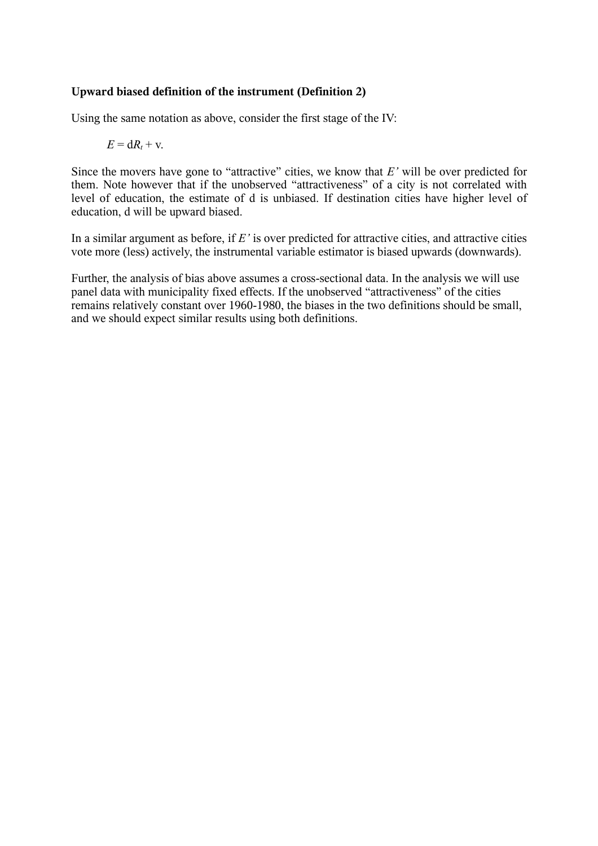# **Upward biased definition of the instrument (Definition 2)**

Using the same notation as above, consider the first stage of the IV:

$$
E = dR_t + v.
$$

Since the movers have gone to "attractive" cities, we know that *E'* will be over predicted for them. Note however that if the unobserved "attractiveness" of a city is not correlated with level of education, the estimate of d is unbiased. If destination cities have higher level of education, d will be upward biased.

In a similar argument as before, if *E'* is over predicted for attractive cities, and attractive cities vote more (less) actively, the instrumental variable estimator is biased upwards (downwards).

Further, the analysis of bias above assumes a cross-sectional data. In the analysis we will use panel data with municipality fixed effects. If the unobserved "attractiveness" of the cities remains relatively constant over 1960-1980, the biases in the two definitions should be small, and we should expect similar results using both definitions.